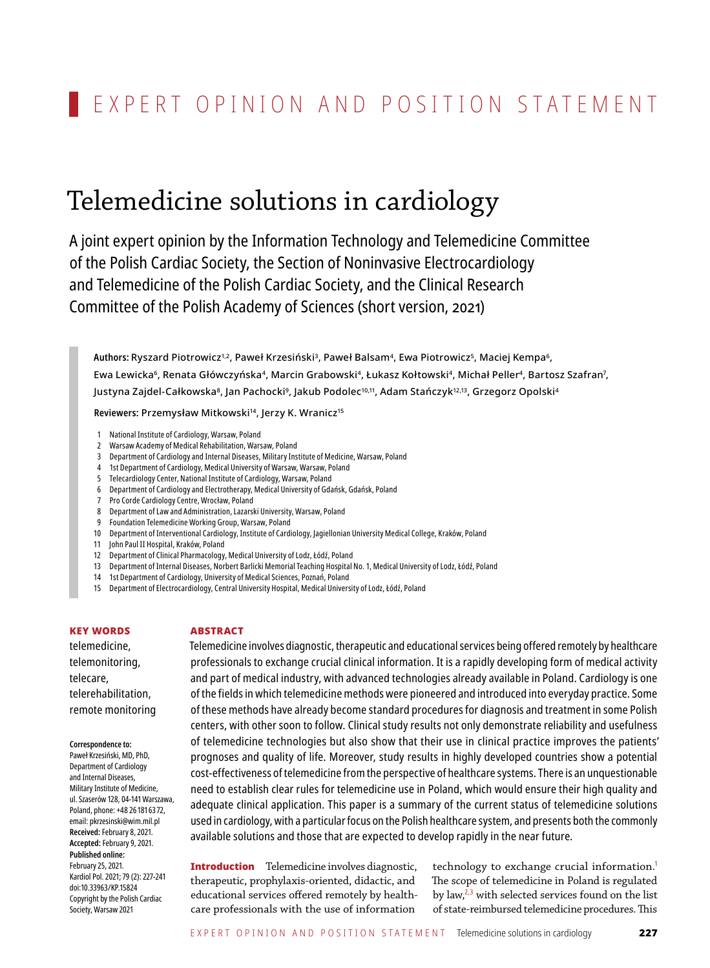# EXPERT OPINION AND POSITION STATEMENT

# Telemedicine solutions in cardiology

A joint expert opinion by the Information Technology and Telemedicine Committee of the Polish Cardiac Society, the Section of Noninvasive Electrocardiology and Telemedicine of the Polish Cardiac Society, and the Clinical Research Committee of the Polish Academy of Sciences (short version, 2021)

Authors: Ryszard Piotrowicz<sup>1,2</sup>, Paweł Krzesiński<sup>3</sup>, Paweł Balsam<sup>4</sup>, Ewa Piotrowicz<sup>5</sup>, Maciej Kempa<sup>6</sup>, Ewa Lewicka<sup>6</sup>, Renata Główczyńska<sup>4</sup>, Marcin Grabowski<sup>4</sup>, Łukasz Kołtowski<sup>4</sup>, Michał Peller<sup>4</sup>, Bartosz Szafran<sup>7</sup>, Justyna Zajdel-Całkowska<sup>8</sup>, Jan Pachocki<sup>9</sup>, Jakub Podolec<sup>10,11</sup>, Adam Stańczyk<sup>12,13</sup>, Grzegorz Opolski<sup>4</sup>

### Reviewers: Przemysław Mitkowski<sup>14</sup>, Jerzy K. Wranicz<sup>15</sup>

- 1 National Institute of Cardiology, Warsaw, Poland
- 2 Warsaw Academy of Medical Rehabilitation, Warsaw, Poland
- 3 Department of Cardiology and Internal Diseases, Military Institute of Medicine, Warsaw, Poland
- 4 1st Department of Cardiology, Medical University of Warsaw, Warsaw, Poland
- 5 Telecardiology Center, National Institute of Cardiology, Warsaw, Poland
- 6 Department of Cardiology and Electrotherapy, Medical University of Gdańsk, Gdańsk, Poland
- 7 Pro Corde Cardiology Centre, Wrocław, Poland
- 8 Department of Law and Administration, Lazarski University, Warsaw, Poland
- 9 Foundation Telemedicine Working Group, Warsaw, Poland
- 10 Department of Interventional Cardiology, Institute of Cardiology, Jagiellonian University Medical College, Kraków, Poland
- 11 John Paul II Hospital, Kraków, Poland
- 12 Department of Clinical Pharmacology, Medical University of Lodz, Łódź, Poland
- 13 Department of Internal Diseases, Norbert Barlicki Memorial Teaching Hospital No. 1, Medical University of Lodz, Łódź, Poland
- 14 1st Department of Cardiology, University of Medical Sciences, Poznań, Poland
- 15 Department of Electrocardiology, Central University Hospital, Medical University ofLodz,Łódź, Poland

## Key words

## **ABSTRACT**

telemedicine, telemonitoring, telecare, telerehabilitation, remote monitoring

**Correspondence to:**

Paweł Krzesiński, MD, PhD, Department of Cardiology and Internal Diseases, Military Institute of Medicine, ul. Szaserów 128, 04-141 Warszawa, Poland, phone: +48 26 181 63 72, email: pkrzesinski@wim.mil.pl **Received:**February 8, 2021. **Accepted:**February 9, 2021. **Published online:** February 25, 2021. Kardiol Pol. 2021; 79 (2): 227-241 doi:10.33963/KP.15824 Copyright by the Polish Cardiac Society, Warsaw 2021

Telemedicine involves diagnostic, therapeutic and educational services being offered remotely by healthcare professionals to exchange crucial clinical information. It is a rapidly developing form of medical activity and part of medical industry, with advanced technologies already available in Poland. Cardiology is one of the fields in which telemedicine methods were pioneered and introduced into everyday practice. Some of these methods have already become standard procedures for diagnosis and treatment in some Polish centers, with other soon to follow. Clinical study results not only demonstrate reliability and usefulness of telemedicine technologies but also show that their use in clinical practice improves the patients' prognoses and quality of life. Moreover, study results in highly developed countries show a potential cost-effectiveness of telemedicine from the perspective of healthcare systems. There is an unquestionable need to establish clear rules for telemedicine use in Poland, which would ensure their high quality and adequate clinical application. This paper is a summary of the current status of telemedicine solutions used in cardiology, with a particular focus on the Polish healthcare system, and presents both the commonly available solutions and those that are expected to develop rapidly in the near future.

**Introduction** Telemedicine involves diagnostic, therapeutic, prophylaxis‑oriented, didactic, and educational services offered remotely by healthcare professionals with the use of information

technology to exchange crucial information.<sup>1</sup> The scope of telemedicine in Poland is regulated by law, $2,3$  with selected services found on the list of state‑reimbursed telemedicine procedures. This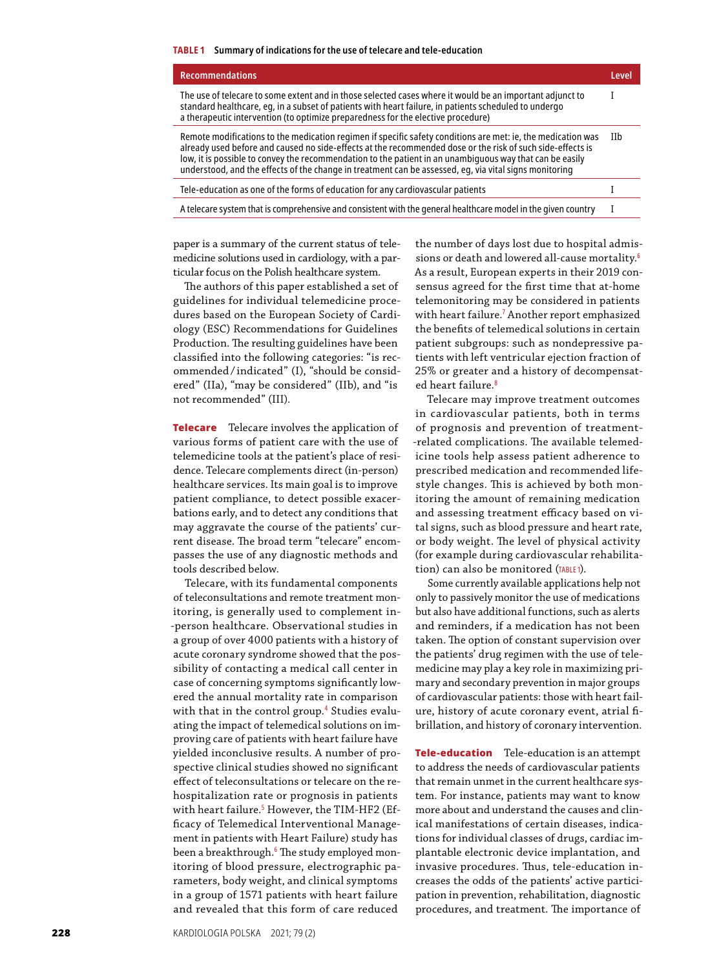#### **Table 1 Summary of indications for the use of telecare and tele‑education**

| <b>Recommendations</b>                                                                                                                                                                                                                                                                                                                                                                                                                           | Level      |
|--------------------------------------------------------------------------------------------------------------------------------------------------------------------------------------------------------------------------------------------------------------------------------------------------------------------------------------------------------------------------------------------------------------------------------------------------|------------|
| The use of telecare to some extent and in those selected cases where it would be an important adjunct to<br>standard healthcare, eq, in a subset of patients with heart failure, in patients scheduled to undergo<br>a therapeutic intervention (to optimize preparedness for the elective procedure)                                                                                                                                            |            |
| Remote modifications to the medication regimen if specific safety conditions are met: ie, the medication was<br>already used before and caused no side-effects at the recommended dose or the risk of such side-effects is<br>low, it is possible to convey the recommendation to the patient in an unambiguous way that can be easily<br>understood, and the effects of the change in treatment can be assessed, eg, via vital signs monitoring | <b>IIh</b> |
| Tele-education as one of the forms of education for any cardiovascular patients                                                                                                                                                                                                                                                                                                                                                                  |            |
| A telecare system that is comprehensive and consistent with the general healthcare model in the given country                                                                                                                                                                                                                                                                                                                                    |            |
|                                                                                                                                                                                                                                                                                                                                                                                                                                                  |            |

paper is a summary of the current status of telemedicine solutions used in cardiology, with a particular focus on the Polish healthcare system.

The authors of this paper established a set of guidelines for individual telemedicine proce‑ dures based on the European Society of Cardiology (ESC) Recommendations for Guidelines Production. The resulting guidelines have been classified into the following categories: "is recommended/indicated" (I), "should be considered" (IIa), "may be considered" (IIb), and "is not recommended" (III).

**Telecare** Telecare involves the application of various forms of patient care with the use of telemedicine tools at the patient's place of residence. Telecare complements direct (in‑person) healthcare services. Its main goal is to improve patient compliance, to detect possible exacerbations early, and to detect any conditions that may aggravate the course of the patients' current disease. The broad term "telecare" encompasses the use of any diagnostic methods and tools described below.

Telecare, with its fundamental components of teleconsultations and remote treatment monitoring, is generally used to complement in-‑person healthcare. Observational studies in a group of over 4000 patients with a history of acute coronary syndrome showed that the possibility of contacting a medical call center in case of concerning symptoms significantly lowered the annual mortality rate in comparison with that in the control group.<sup>4</sup> Studies evalu‑ ating the impact of telemedical solutions on im‑ proving care of patients with heart failure have yielded inconclusive results. A number of prospective clinical studies showed no significant effect of teleconsultations or telecare on the re‑ hospitalization rate or prognosis in patients with heart failure.<sup>5</sup> However, the TIM-HF2 (Efficacy of Telemedical Interventional Management in patients with Heart Failure) study has been a breakthrough.<sup>6</sup> The study employed monitoring of blood pressure, electrographic parameters, body weight, and clinical symptoms in a group of 1571 patients with heart failure and revealed that this form of care reduced

the number of days lost due to hospital admis‑ sions or death and lowered all-cause mortality.<sup>6</sup> As a result, European experts in their 2019 consensus agreed for the first time that at-home telemonitoring may be considered in patients with heart failure.<sup>7</sup> Another report emphasized the benefits of telemedical solutions in certain patient subgroups: such as nondepressive patients with left ventricular ejection fraction of 25% or greater and a history of decompensat‑ ed heart failure.<sup>8</sup>

Telecare may improve treatment outcomes in cardiovascular patients, both in terms of prognosis and prevention of treatment‑ ‑related complications. The available telemed‑ icine tools help assess patient adherence to prescribed medication and recommended lifestyle changes. This is achieved by both monitoring the amount of remaining medication and assessing treatment efficacy based on vital signs, such as blood pressure and heart rate, or body weight. The level of physical activity (for example during cardiovascular rehabilitation) can also be monitored (Table 1).

Some currently available applications help not only to passively monitor the use of medications but also have additional functions, such as alerts and reminders, if a medication has not been taken. The option of constant supervision over the patients' drug regimen with the use of telemedicine may play a key role in maximizing pri‑ mary and secondary prevention in major groups of cardiovascular patients: those with heart fail‑ ure, history of acute coronary event, atrial fibrillation, and history of coronary intervention.

Tele-education Tele-education is an attempt to address the needs of cardiovascular patients that remain unmet in the current healthcare system. For instance, patients may want to know more about and understand the causes and clinical manifestations of certain diseases, indications for individual classes of drugs, cardiac im‑ plantable electronic device implantation, and invasive procedures. Thus, tele-education increases the odds of the patients' active partici‑ pation in prevention, rehabilitation, diagnostic procedures, and treatment. The importance of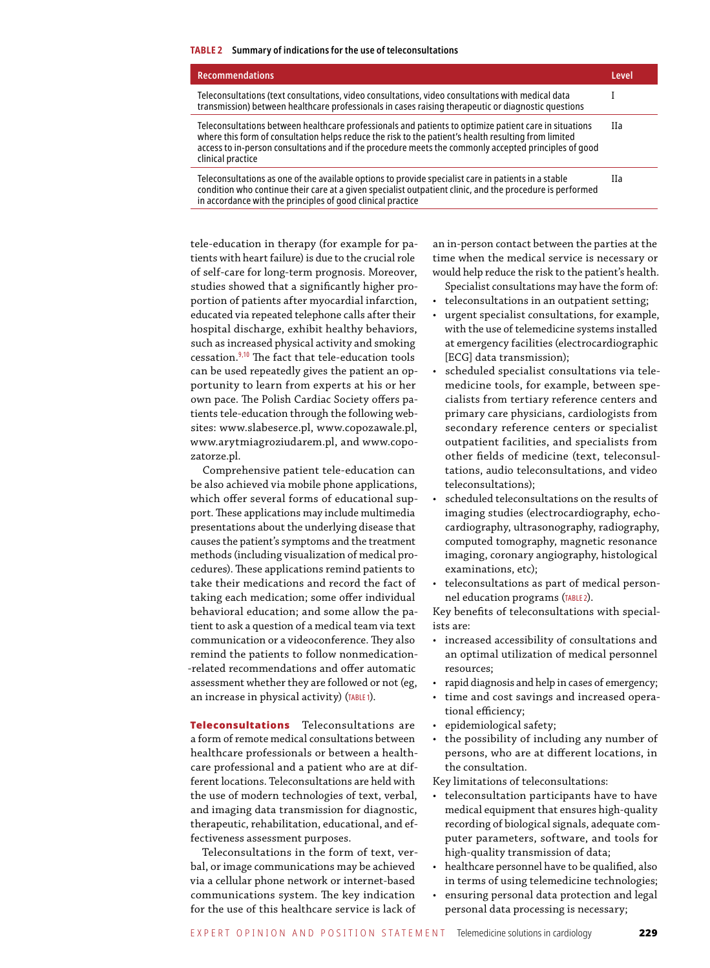#### **Table 2 Summary of indications for the use of teleconsultations**

| <b>Recommendations</b>                                                                                                                                                                                                                                                                                                                       | Level |
|----------------------------------------------------------------------------------------------------------------------------------------------------------------------------------------------------------------------------------------------------------------------------------------------------------------------------------------------|-------|
| Teleconsultations (text consultations, video consultations, video consultations with medical data<br>transmission) between healthcare professionals in cases raising therapeutic or diagnostic questions                                                                                                                                     |       |
| Teleconsultations between healthcare professionals and patients to optimize patient care in situations<br>where this form of consultation helps reduce the risk to the patient's health resulting from limited<br>access to in-person consultations and if the procedure meets the commonly accepted principles of good<br>clinical practice | Нa    |
| Teleconsultations as one of the available options to provide specialist care in patients in a stable<br>condition who continue their care at a given specialist outpatient clinic, and the procedure is performed<br>in accordance with the principles of good clinical practice                                                             | Нa    |

tele-education in therapy (for example for patients with heart failure) is due to the crucial role of self‑care for long‑term prognosis. Moreover, studies showed that a significantly higher proportion of patients after myocardial infarction, educated via repeated telephone calls after their hospital discharge, exhibit healthy behaviors, such as increased physical activity and smoking cessation.9,10 The fact that tele‑education tools can be used repeatedly gives the patient an opportunity to learn from experts at his or her own pace. The Polish Cardiac Society offers patients tele-education through the following websites: www.slabeserce.pl, www.copozawale.pl, www.arytmiagroziudarem.pl, and www.copozatorze.pl.

Comprehensive patient tele‑education can be also achieved via mobile phone applications, which offer several forms of educational support. These applications may include multimedia presentations about the underlying disease that causes the patient's symptoms and the treatment methods (including visualization of medical procedures). These applications remind patients to take their medications and record the fact of taking each medication; some offer individual behavioral education; and some allow the patient to ask a question of a medical team via text communication or a videoconference. They also remind the patients to follow nonmedication-‑related recommendations and offer automatic assessment whether they are followed or not (eg, an increase in physical activity) (Table 1).

Teleconsultations Teleconsultations are a form of remote medical consultations between healthcare professionals or between a healthcare professional and a patient who are at different locations. Teleconsultations are held with the use of modern technologies of text, verbal, and imaging data transmission for diagnostic, therapeutic, rehabilitation, educational, and effectiveness assessment purposes.

Teleconsultations in the form of text, verbal, or image communications may be achieved via a cellular phone network or internet‑based communications system. The key indication for the use of this healthcare service is lack of

an in‑person contact between the parties at the time when the medical service is necessary or would help reduce the risk to the patient's health.

- Specialist consultations may have the form of: • teleconsultations in an outpatient setting;
- urgent specialist consultations, for example, with the use of telemedicine systems installed at emergency facilities (electrocardiographic [ECG] data transmission);
- scheduled specialist consultations via telemedicine tools, for example, between specialists from tertiary reference centers and primary care physicians, cardiologists from secondary reference centers or specialist outpatient facilities, and specialists from other fields of medicine (text, teleconsultations, audio teleconsultations, and video teleconsultations);
- scheduled teleconsultations on the results of imaging studies (electrocardiography, echocardiography, ultrasonography, radiography, computed tomography, magnetic resonance imaging, coronary angiography, histological examinations, etc);
- teleconsultations as part of medical personnel education programs (Table 2).

Key benefits of teleconsultations with specialists are:

- • increased accessibility of consultations and an optimal utilization of medical personnel resources;
- rapid diagnosis and help in cases of emergency;
- time and cost savings and increased operational efficiency;
- epidemiological safety;
- the possibility of including any number of persons, who are at different locations, in the consultation.

Key limitations of teleconsultations:

- teleconsultation participants have to have medical equipment that ensures high-quality recording of biological signals, adequate computer parameters, software, and tools for high-quality transmission of data;
- healthcare personnel have to be qualified, also in terms of using telemedicine technologies;
- ensuring personal data protection and legal personal data processing is necessary;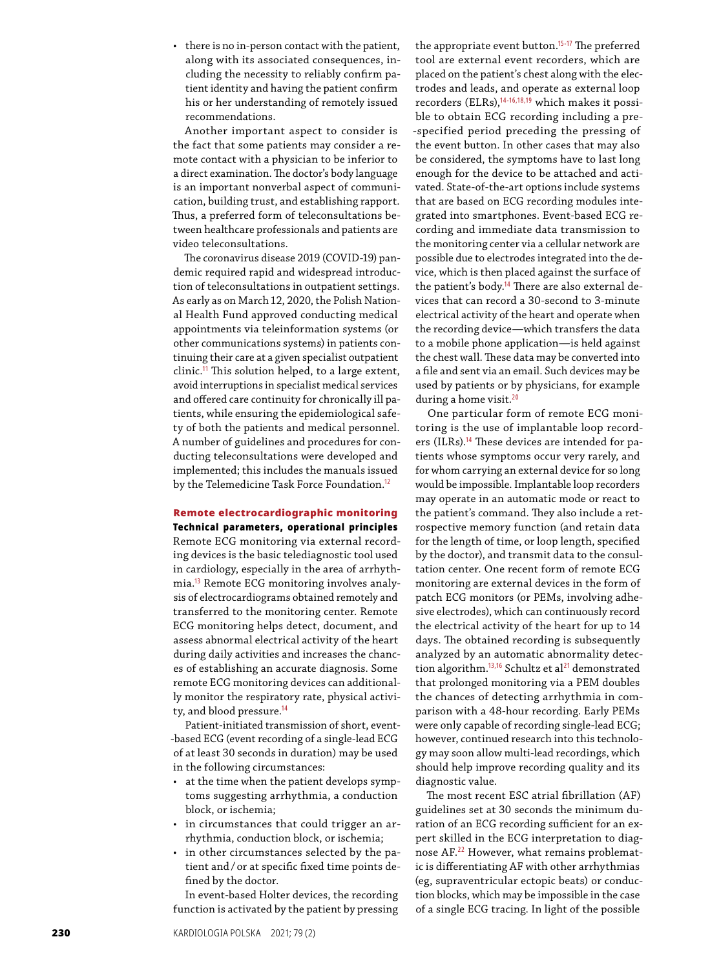• there is no in-person contact with the patient, along with its associated consequences, including the necessity to reliably confirm pa‑ tient identity and having the patient confirm his or her understanding of remotely issued recommendations.

Another important aspect to consider is the fact that some patients may consider a re‑ mote contact with a physician to be inferior to a direct examination. The doctor's body language is an important nonverbal aspect of communication, building trust, and establishing rapport. Thus, a preferred form of teleconsultations be‑ tween healthcare professionals and patients are video teleconsultations.

The coronavirus disease 2019 (COVID-19) pandemic required rapid and widespread introduction of teleconsultations in outpatient settings. As early as on March 12, 2020, the Polish National Health Fund approved conducting medical appointments via teleinformation systems (or other communications systems) in patients continuing their care at a given specialist outpatient clinic.<sup>11</sup> This solution helped, to a large extent, avoid interruptions in specialist medical services and offered care continuity for chronically ill patients, while ensuring the epidemiological safe‑ ty of both the patients and medical personnel. A number of guidelines and procedures for conducting teleconsultations were developed and implemented; this includes the manuals issued by the Telemedicine Task Force Foundation.<sup>12</sup>

## Remote electrocardiographic monitoring Technical parameters, operational principles

Remote ECG monitoring via external recording devices is the basic telediagnostic tool used in cardiology, especially in the area of arrhythmia.<sup>13</sup> Remote ECG monitoring involves analysis of electrocardiograms obtained remotely and transferred to the monitoring center. Remote ECG monitoring helps detect, document, and assess abnormal electrical activity of the heart during daily activities and increases the chances of establishing an accurate diagnosis. Some remote ECG monitoring devices can additionally monitor the respiratory rate, physical activity, and blood pressure.<sup>14</sup>

Patient-initiated transmission of short, event-‑based ECG (event recording of a single‑lead ECG of at least 30 seconds in duration) may be used in the following circumstances:

- at the time when the patient develops symptoms suggesting arrhythmia, a conduction block, or ischemia;
- in circumstances that could trigger an arrhythmia, conduction block, or ischemia;
- in other circumstances selected by the patient and/or at specific fixed time points defined by the doctor.

In event-based Holter devices, the recording function is activated by the patient by pressing

the appropriate event button.<sup>15-17</sup> The preferred tool are external event recorders, which are placed on the patient's chest along with the electrodes and leads, and operate as external loop recorders (ELRs), $14-16,18,19$  which makes it possible to obtain ECG recording including a pre-‑specified period preceding the pressing of the event button. In other cases that may also be considered, the symptoms have to last long enough for the device to be attached and activated. State-of-the-art options include systems that are based on ECG recording modules integrated into smartphones. Event-based ECG recording and immediate data transmission to the monitoring center via a cellular network are possible due to electrodes integrated into the device, which is then placed against the surface of the patient's body.<sup>14</sup> There are also external devices that can record a 30‑second to 3‑minute electrical activity of the heart and operate when the recording device—which transfers the data to a mobile phone application—is held against the chest wall. These data may be converted into a file and sent via an email. Such devices may be used by patients or by physicians, for example during a home visit.<sup>20</sup>

One particular form of remote ECG monitoring is the use of implantable loop recorders (ILRs).<sup>14</sup> These devices are intended for patients whose symptoms occur very rarely, and for whom carrying an external device for so long would be impossible. Implantable loop recorders may operate in an automatic mode or react to the patient's command. They also include a retrospective memory function (and retain data for the length of time, or loop length, specified by the doctor), and transmit data to the consultation center. One recent form of remote ECG monitoring are external devices in the form of patch ECG monitors (or PEMs, involving adhesive electrodes), which can continuously record the electrical activity of the heart for up to 14 days. The obtained recording is subsequently analyzed by an automatic abnormality detection algorithm.<sup>13,16</sup> Schultz et al<sup>21</sup> demonstrated that prolonged monitoring via a PEM doubles the chances of detecting arrhythmia in comparison with a 48‑hour recording. Early PEMs were only capable of recording single‑lead ECG; however, continued research into this technology may soon allow multi‑lead recordings, which should help improve recording quality and its diagnostic value.

The most recent ESC atrial fibrillation (AF) guidelines set at 30 seconds the minimum duration of an ECG recording sufficient for an expert skilled in the ECG interpretation to diagnose AF.<sup>22</sup> However, what remains problematic is differentiating AF with other arrhythmias (eg, supraventricular ectopic beats) or conduc‑ tion blocks, which may be impossible in the case of a single ECG tracing. In light of the possible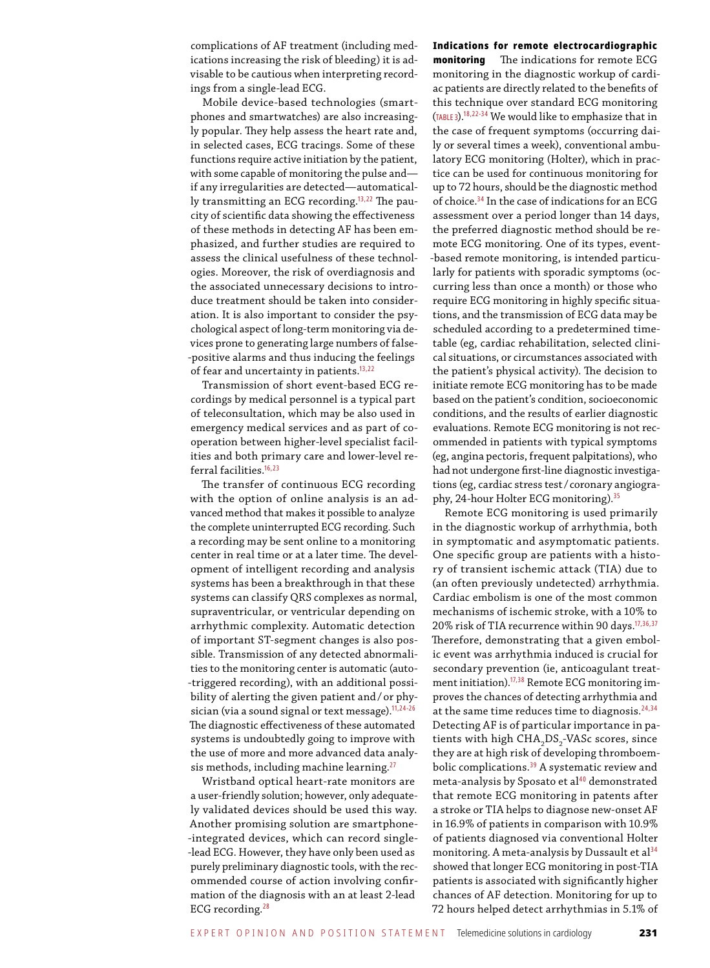complications of AF treatment (including medications increasing the risk of bleeding) it is advisable to be cautious when interpreting recordings from a single‑lead ECG.

Mobile device-based technologies (smartphones and smartwatches) are also increasingly popular. They help assess the heart rate and, in selected cases, ECG tracings. Some of these functions require active initiation by the patient, with some capable of monitoring the pulse and if any irregularities are detected—automatically transmitting an ECG recording.<sup>13,22</sup> The paucity of scientific data showing the effectiveness of these methods in detecting AF has been emphasized, and further studies are required to assess the clinical usefulness of these technologies. Moreover, the risk of overdiagnosis and the associated unnecessary decisions to introduce treatment should be taken into consideration. It is also important to consider the psychological aspect of long-term monitoring via devices prone to generating large numbers of false-‑positive alarms and thus inducing the feelings of fear and uncertainty in patients.<sup>13,22</sup>

Transmission of short event-based ECG recordings by medical personnel is a typical part of teleconsultation, which may be also used in emergency medical services and as part of cooperation between higher‑level specialist facil‑ ities and both primary care and lower-level referral facilities.16,23

The transfer of continuous ECG recording with the option of online analysis is an advanced method that makes it possible to analyze the complete uninterrupted ECG recording. Such a recording may be sent online to a monitoring center in real time or at a later time. The development of intelligent recording and analysis systems has been a breakthrough in that these systems can classify QRS complexes as normal, supraventricular, or ventricular depending on arrhythmic complexity. Automatic detection of important ST‑segment changes is also pos‑ sible. Transmission of any detected abnormalities to the monitoring center is automatic (auto-‑triggered recording), with an additional possi‑ bility of alerting the given patient and/or physician (via a sound signal or text message).<sup>11,24-26</sup> The diagnostic effectiveness of these automated systems is undoubtedly going to improve with the use of more and more advanced data analysis methods, including machine learning.<sup>27</sup>

Wristband optical heart-rate monitors are a user-friendly solution; however, only adequately validated devices should be used this way. Another promising solution are smartphone-‑integrated devices, which can record single‑ ‑lead ECG. However, they have only been used as purely preliminary diagnostic tools, with the recommended course of action involving confirmation of the diagnosis with an at least 2‑lead ECG recording.28

## Indications for remote electrocardiographic

monitoring The indications for remote ECG monitoring in the diagnostic workup of cardiac patients are directly related to the benefits of this technique over standard ECG monitoring (Table 3).18,22‑34 We would like to emphasize that in the case of frequent symptoms (occurring daily or several times a week), conventional ambulatory ECG monitoring (Holter), which in practice can be used for continuous monitoring for up to 72 hours, should be the diagnostic method of choice.<sup>34</sup> In the case of indications for an ECG assessment over a period longer than 14 days, the preferred diagnostic method should be re‑ mote ECG monitoring. One of its types, event--based remote monitoring, is intended particularly for patients with sporadic symptoms (occurring less than once a month) or those who require ECG monitoring in highly specific situations, and the transmission of ECG data may be scheduled according to a predetermined timetable (eg, cardiac rehabilitation, selected clinical situations, or circumstances associated with the patient's physical activity). The decision to initiate remote ECG monitoring has to be made based on the patient's condition, socioeconomic conditions, and the results of earlier diagnostic evaluations. Remote ECG monitoring is not recommended in patients with typical symptoms (eg, angina pectoris, frequent palpitations), who had not undergone first-line diagnostic investigations (eg, cardiac stress test/ coronary angiogra‑ phy, 24-hour Holter ECG monitoring).<sup>35</sup>

Remote ECG monitoring is used primarily in the diagnostic workup of arrhythmia, both in symptomatic and asymptomatic patients. One specific group are patients with a history of transient ischemic attack (TIA) due to (an often previously undetected) arrhythmia. Cardiac embolism is one of the most common mechanisms of ischemic stroke, with a 10% to 20% risk of TIA recurrence within 90 days.17,36,37 Therefore, demonstrating that a given embolic event was arrhythmia induced is crucial for secondary prevention (ie, anticoagulant treatment initiation).<sup>17,38</sup> Remote ECG monitoring improves the chances of detecting arrhythmia and at the same time reduces time to diagnosis.<sup>24,34</sup> Detecting AF is of particular importance in pa‑ tients with high CHA<sub>2</sub>DS<sub>2</sub>-VASc scores, since they are at high risk of developing thromboem‑ bolic complications.<sup>39</sup> A systematic review and meta-analysis by Sposato et al<sup>40</sup> demonstrated that remote ECG monitoring in patents after a stroke or TIA helps to diagnose new‑onset AF in 16.9% of patients in comparison with 10.9% of patients diagnosed via conventional Holter monitoring. A meta-analysis by Dussault et al<sup>34</sup> showed that longer ECG monitoring in post-TIA patients is associated with significantly higher chances of AF detection. Monitoring for up to 72 hours helped detect arrhythmias in 5.1% of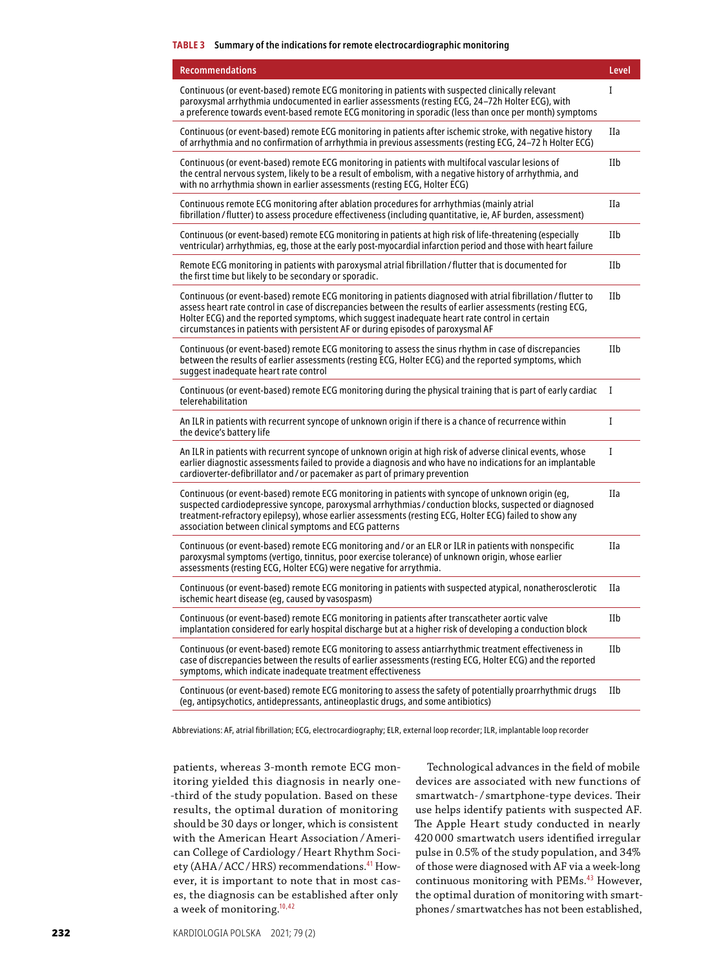### **Table 3 Summary of the indications for remote electrocardiographic monitoring**

| <b>Recommendations</b>                                                                                                                                                                                                                                                                                                                                                                                            | Level       |
|-------------------------------------------------------------------------------------------------------------------------------------------------------------------------------------------------------------------------------------------------------------------------------------------------------------------------------------------------------------------------------------------------------------------|-------------|
| Continuous (or event-based) remote ECG monitoring in patients with suspected clinically relevant<br>paroxysmal arrhythmia undocumented in earlier assessments (resting ECG, 24-72h Holter ECG), with<br>a preference towards event-based remote ECG monitoring in sporadic (less than once per month) symptoms                                                                                                    | I           |
| Continuous (or event-based) remote ECG monitoring in patients after ischemic stroke, with negative history<br>of arrhythmia and no confirmation of arrhythmia in previous assessments (resting ECG, 24-72 h Holter ECG)                                                                                                                                                                                           | IIa         |
| Continuous (or event-based) remote ECG monitoring in patients with multifocal vascular lesions of<br>the central nervous system, likely to be a result of embolism, with a negative history of arrhythmia, and<br>with no arrhythmia shown in earlier assessments (resting ECG, Holter ECG)                                                                                                                       | IIb         |
| Continuous remote ECG monitoring after ablation procedures for arrhythmias (mainly atrial<br>fibrillation / flutter) to assess procedure effectiveness (including quantitative, ie, AF burden, assessment)                                                                                                                                                                                                        | IIa         |
| Continuous (or event-based) remote ECG monitoring in patients at high risk of life-threatening (especially<br>ventricular) arrhythmias, eq, those at the early post-myocardial infarction period and those with heart failure                                                                                                                                                                                     | IIb         |
| Remote ECG monitoring in patients with paroxysmal atrial fibrillation / flutter that is documented for<br>the first time but likely to be secondary or sporadic.                                                                                                                                                                                                                                                  | IIb         |
| Continuous (or event-based) remote ECG monitoring in patients diagnosed with atrial fibrillation / flutter to<br>assess heart rate control in case of discrepancies between the results of earlier assessments (resting ECG,<br>Holter ECG) and the reported symptoms, which suggest inadequate heart rate control in certain<br>circumstances in patients with persistent AF or during episodes of paroxysmal AF | IIb         |
| Continuous (or event-based) remote ECG monitoring to assess the sinus rhythm in case of discrepancies<br>between the results of earlier assessments (resting ECG, Holter ECG) and the reported symptoms, which<br>suggest inadequate heart rate control                                                                                                                                                           | IIb         |
| Continuous (or event-based) remote ECG monitoring during the physical training that is part of early cardiac<br>telerehabilitation                                                                                                                                                                                                                                                                                | I           |
| An ILR in patients with recurrent syncope of unknown origin if there is a chance of recurrence within<br>the device's battery life                                                                                                                                                                                                                                                                                | $\mathbf I$ |
| An ILR in patients with recurrent syncope of unknown origin at high risk of adverse clinical events, whose<br>earlier diagnostic assessments failed to provide a diagnosis and who have no indications for an implantable<br>cardioverter-defibrillator and / or pacemaker as part of primary prevention                                                                                                          | I           |
| Continuous (or event-based) remote ECG monitoring in patients with syncope of unknown origin (eg,<br>suspected cardiodepressive syncope, paroxysmal arrhythmias / conduction blocks, suspected or diagnosed<br>treatment-refractory epilepsy), whose earlier assessments (resting ECG, Holter ECG) failed to show any<br>association between clinical symptoms and ECG patterns                                   | IIa         |
| Continuous (or event-based) remote ECG monitoring and / or an ELR or ILR in patients with nonspecific<br>paroxysmal symptoms (vertigo, tinnitus, poor exercise tolerance) of unknown origin, whose earlier<br>assessments (resting ECG, Holter ECG) were negative for arrythmia.                                                                                                                                  | IIa         |
| Continuous (or event-based) remote ECG monitoring in patients with suspected atypical, nonatherosclerotic<br>ischemic heart disease (eg, caused by vasospasm)                                                                                                                                                                                                                                                     | IIa         |
| Continuous (or event-based) remote ECG monitoring in patients after transcatheter aortic valve<br>implantation considered for early hospital discharge but at a higher risk of developing a conduction block                                                                                                                                                                                                      | IIb         |
| Continuous (or event-based) remote ECG monitoring to assess antiarrhythmic treatment effectiveness in<br>case of discrepancies between the results of earlier assessments (resting ECG, Holter ECG) and the reported<br>symptoms, which indicate inadequate treatment effectiveness                                                                                                                               | IIb         |
| Continuous (or event-based) remote ECG monitoring to assess the safety of potentially proarrhythmic drugs<br>(eq, antipsychotics, antidepressants, antineoplastic drugs, and some antibiotics)                                                                                                                                                                                                                    | IIb         |

Abbreviations: AF, atrial fibrillation; ECG, electrocardiography; ELR, external loop recorder; ILR, implantable loop recorder

patients, whereas 3-month remote ECG monitoring yielded this diagnosis in nearly one-‑third of the study population. Based on these results, the optimal duration of monitoring should be 30 days or longer, which is consistent with the American Heart Association/American College of Cardiology / Heart Rhythm Society (AHA/ACC/HRS) recommendations.<sup>41</sup> However, it is important to note that in most cases, the diagnosis can be established after only a week of monitoring.10,42

Technological advances in the field of mobile devices are associated with new functions of smartwatch-/smartphone-type devices. Their use helps identify patients with suspected AF. The Apple Heart study conducted in nearly 420000 smartwatch users identified irregular pulse in 0.5% of the study population, and 34% of those were diagnosed with AF via a week‑long continuous monitoring with PEMs.<sup>43</sup> However, the optimal duration of monitoring with smartphones / smartwatches has not been established,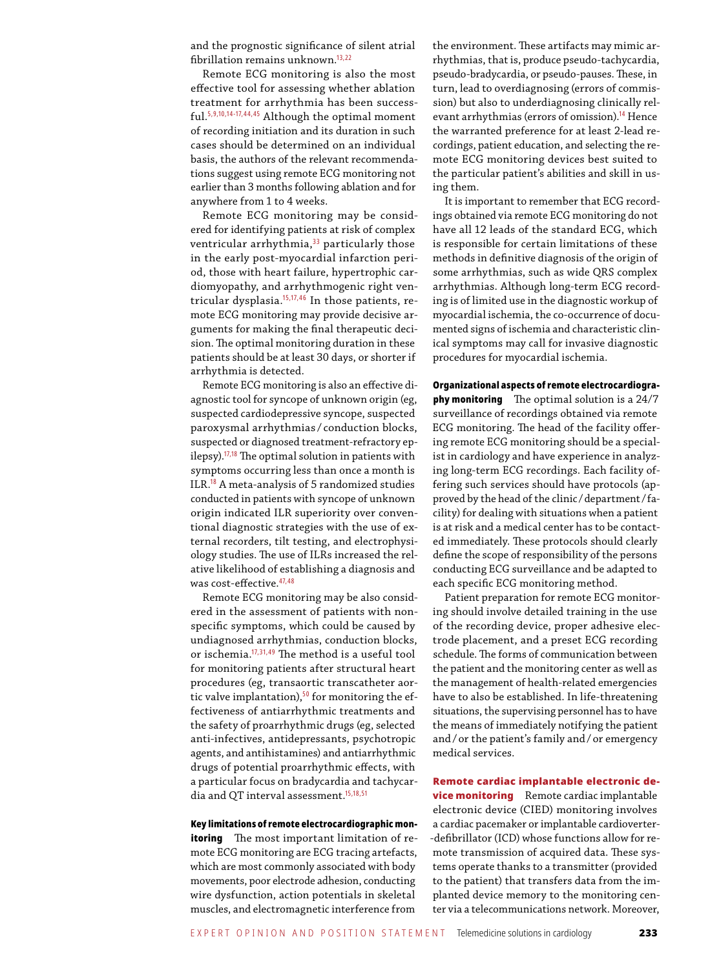and the prognostic significance of silent atrial fibrillation remains unknown.13,22

Remote ECG monitoring is also the most effective tool for assessing whether ablation treatment for arrhythmia has been successful.5,9,10,14‑17,44,45 Although the optimal moment of recording initiation and its duration in such cases should be determined on an individual basis, the authors of the relevant recommendations suggest using remote ECG monitoring not earlier than 3 months following ablation and for anywhere from 1 to 4 weeks.

Remote ECG monitoring may be considered for identifying patients at risk of complex ventricular arrhythmia,<sup>33</sup> particularly those in the early post-myocardial infarction period, those with heart failure, hypertrophic cardiomyopathy, and arrhythmogenic right ventricular dysplasia.<sup>15,17,46</sup> In those patients, remote ECG monitoring may provide decisive arguments for making the final therapeutic decision. The optimal monitoring duration in these patients should be at least 30 days, or shorter if arrhythmia is detected.

Remote ECG monitoring is also an effective diagnostic tool for syncope of unknown origin (eg, suspected cardiodepressive syncope, suspected paroxysmal arrhythmias / conduction blocks, suspected or diagnosed treatment-refractory epilepsy). $17,18$  The optimal solution in patients with symptoms occurring less than once a month is ILR.<sup>18</sup> A meta‑analysis of 5 randomized studies conducted in patients with syncope of unknown origin indicated ILR superiority over conventional diagnostic strategies with the use of external recorders, tilt testing, and electrophysiology studies. The use of ILRs increased the relative likelihood of establishing a diagnosis and was cost-effective.  $47,48$ 

Remote ECG monitoring may be also considered in the assessment of patients with nonspecific symptoms, which could be caused by undiagnosed arrhythmias, conduction blocks, or ischemia.17,31,49 The method is a useful tool for monitoring patients after structural heart procedures (eg, transaortic transcatheter aortic valve implantation), $50$  for monitoring the effectiveness of antiarrhythmic treatments and the safety of proarrhythmic drugs (eg, selected anti-infectives, antidepressants, psychotropic agents, and antihistamines) and antiarrhythmic drugs of potential proarrhythmic effects, with a particular focus on bradycardia and tachycardia and QT interval assessment.15,18,51

## Key limitations of remote electrocardiographic mon-

itoring The most important limitation of remote ECG monitoring are ECG tracing artefacts, which are most commonly associated with body movements, poor electrode adhesion, conducting wire dysfunction, action potentials in skeletal muscles, and electromagnetic interference from

the environment. These artifacts may mimic arrhythmias, that is, produce pseudo‑tachycardia, pseudo‑bradycardia, or pseudo‑pauses. These, in turn, lead to overdiagnosing (errors of commission) but also to underdiagnosing clinically relevant arrhythmias (errors of omission).<sup>14</sup> Hence the warranted preference for at least 2‑lead re‑ cordings, patient education, and selecting the re‑ mote ECG monitoring devices best suited to the particular patient's abilities and skill in using them.

It is important to remember that ECG recordings obtained via remote ECG monitoring do not have all 12 leads of the standard ECG, which is responsible for certain limitations of these methods in definitive diagnosis of the origin of some arrhythmias, such as wide QRS complex arrhythmias. Although long-term ECG recording is of limited use in the diagnostic workup of myocardial ischemia, the co-occurrence of documented signs of ischemia and characteristic clinical symptoms may call for invasive diagnostic procedures for myocardial ischemia.

## Organizational aspects of remote electrocardiogra-

phy monitoring The optimal solution is a 24/7 surveillance of recordings obtained via remote ECG monitoring. The head of the facility offering remote ECG monitoring should be a specialist in cardiology and have experience in analyzing long-term ECG recordings. Each facility offering such services should have protocols (approved by the head of the clinic / department / facility) for dealing with situations when a patient is at risk and a medical center has to be contacted immediately. These protocols should clearly define the scope of responsibility of the persons conducting ECG surveillance and be adapted to each specific ECG monitoring method.

Patient preparation for remote ECG monitoring should involve detailed training in the use of the recording device, proper adhesive elec‑ trode placement, and a preset ECG recording schedule. The forms of communication between the patient and the monitoring center as well as the management of health-related emergencies have to also be established. In life-threatening situations, the supervising personnel has to have the means of immediately notifying the patient and/or the patient's family and/or emergency medical services.

Remote cardiac implantable electronic de‑ **vice monitoring** Remote cardiac implantable electronic device (CIED) monitoring involves a cardiac pacemaker or implantable cardioverter-‑defibrillator (ICD) whose functions allow for re‑ mote transmission of acquired data. These systems operate thanks to a transmitter (provided to the patient) that transfers data from the im‑ planted device memory to the monitoring center via a telecommunications network. Moreover,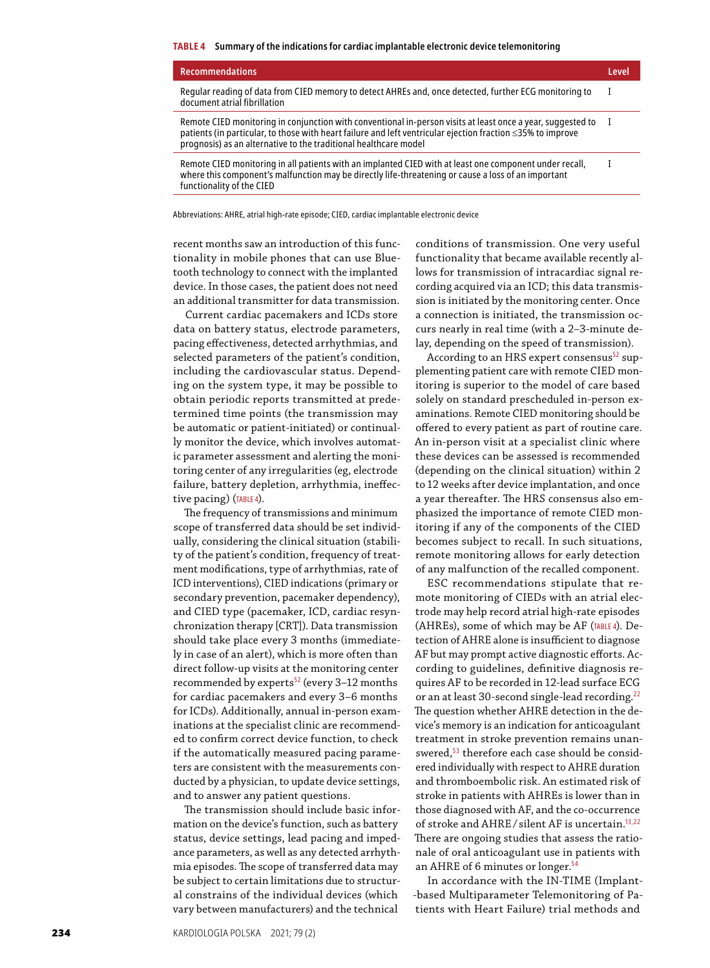#### **Table 4 Summary of the indications for cardiac implantable electronic device telemonitoring**

| <b>Recommendations</b>                                                                                                                                                                                                                                                                         | Level |
|------------------------------------------------------------------------------------------------------------------------------------------------------------------------------------------------------------------------------------------------------------------------------------------------|-------|
| Regular reading of data from CIED memory to detect AHREs and, once detected, further ECG monitoring to<br>document atrial fibrillation                                                                                                                                                         |       |
| Remote CIED monitoring in conjunction with conventional in-person visits at least once a year, suggested to<br>patients (in particular, to those with heart failure and left ventricular ejection fraction <35% to improve<br>prognosis) as an alternative to the traditional healthcare model |       |
| Remote CIED monitoring in all patients with an implanted CIED with at least one component under recall,<br>where this component's malfunction may be directly life-threatening or cause a loss of an important<br>functionality of the CIED                                                    |       |

Abbreviations: AHRE, atrial high-rate episode; CIED, cardiac implantable electronic device

recent months saw an introduction of this functionality in mobile phones that can use Blue‑ tooth technology to connect with the implanted device. In those cases, the patient does not need an additional transmitter for data transmission.

Current cardiac pacemakers and ICDs store data on battery status, electrode parameters, pacing effectiveness, detected arrhythmias, and selected parameters of the patient's condition, including the cardiovascular status. Depending on the system type, it may be possible to obtain periodic reports transmitted at predetermined time points (the transmission may be automatic or patient-initiated) or continually monitor the device, which involves automatic parameter assessment and alerting the monitoring center of any irregularities (eg, electrode failure, battery depletion, arrhythmia, ineffective pacing) (TABLE 4).

The frequency of transmissions and minimum scope of transferred data should be set individually, considering the clinical situation (stability of the patient's condition, frequency of treatment modifications, type of arrhythmias, rate of ICD interventions), CIED indications (primary or secondary prevention, pacemaker dependency), and CIED type (pacemaker, ICD, cardiac resynchronization therapy [CRT]). Data transmission should take place every 3 months (immediately in case of an alert), which is more often than direct follow‑up visits at the monitoring center recommended by experts<sup>52</sup> (every 3-12 months for cardiac pacemakers and every 3–6 months for ICDs). Additionally, annual in-person examinations at the specialist clinic are recommended to confirm correct device function, to check if the automatically measured pacing parameters are consistent with the measurements conducted by a physician, to update device settings, and to answer any patient questions.

The transmission should include basic information on the device's function, such as battery status, device settings, lead pacing and imped‑ ance parameters, as well as any detected arrhythmia episodes. The scope of transferred data may be subject to certain limitations due to structural constrains of the individual devices (which vary between manufacturers) and the technical

conditions of transmission. One very useful functionality that became available recently allows for transmission of intracardiac signal recording acquired via an ICD; this data transmis‑ sion is initiated by the monitoring center. Once a connection is initiated, the transmission oc‑ curs nearly in real time (with a 2-3-minute delay, depending on the speed of transmission).

According to an HRS expert consensus<sup>52</sup> supplementing patient care with remote CIED monitoring is superior to the model of care based solely on standard prescheduled in-person examinations. Remote CIED monitoring should be offered to every patient as part of routine care. An in‑person visit at a specialist clinic where these devices can be assessed is recommended (depending on the clinical situation) within 2 to 12 weeks after device implantation, and once a year thereafter. The HRS consensus also em‑ phasized the importance of remote CIED monitoring if any of the components of the CIED becomes subject to recall. In such situations, remote monitoring allows for early detection of any malfunction of the recalled component.

ESC recommendations stipulate that re‑ mote monitoring of CIEDs with an atrial electrode may help record atrial high-rate episodes (AHREs), some of which may be AF (Table 4). De‑ tection of AHRE alone is insufficient to diagnose AF but may prompt active diagnostic efforts. According to guidelines, definitive diagnosis re‑ quires AF to be recorded in 12‑lead surface ECG or an at least 30-second single-lead recording.<sup>22</sup> The question whether AHRE detection in the device's memory is an indication for anticoagulant treatment in stroke prevention remains unanswered.<sup>53</sup> therefore each case should be considered individually with respect to AHRE duration and thromboembolic risk. An estimated risk of stroke in patients with AHREs is lower than in those diagnosed with AF, and the co‑occurrence of stroke and AHRE/ silent AF is uncertain.<sup>13,22</sup> There are ongoing studies that assess the rationale of oral anticoagulant use in patients with an AHRE of 6 minutes or longer.<sup>54</sup>

In accordance with the IN‑TIME (Implant---based Multiparameter Telemonitoring of Patients with Heart Failure) trial methods and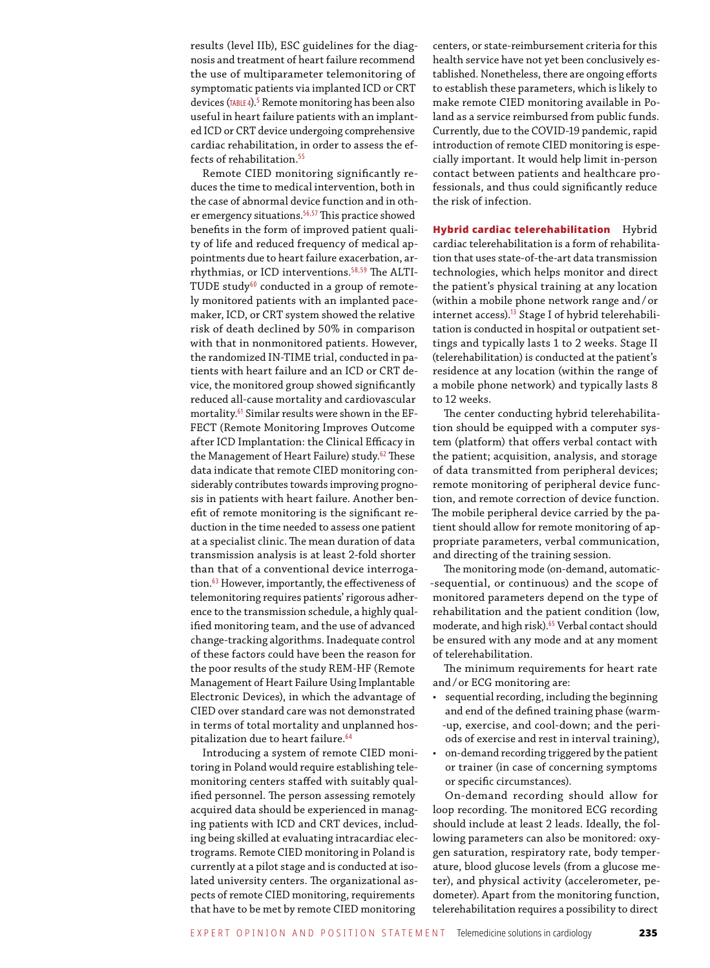results (level IIb), ESC guidelines for the diagnosis and treatment of heart failure recommend the use of multiparameter telemonitoring of symptomatic patients via implanted ICD or CRT devices (Table 4).<sup>5</sup> Remote monitoring has been also useful in heart failure patients with an implanted ICD or CRT device undergoing comprehensive cardiac rehabilitation, in order to assess the effects of rehabilitation.<sup>55</sup>

Remote CIED monitoring significantly reduces the time to medical intervention, both in the case of abnormal device function and in other emergency situations.<sup>56,57</sup> This practice showed benefits in the form of improved patient quality of life and reduced frequency of medical appointments due to heart failure exacerbation, arrhythmias, or ICD interventions.<sup>58,59</sup> The ALTI-TUDE study $60$  conducted in a group of remotely monitored patients with an implanted pacemaker, ICD, or CRT system showed the relative risk of death declined by 50% in comparison with that in nonmonitored patients. However, the randomized IN-TIME trial, conducted in patients with heart failure and an ICD or CRT de‑ vice, the monitored group showed significantly reduced all‑cause mortality and cardiovascular mortality.<sup>61</sup> Similar results were shown in the EF-FECT (Remote Monitoring Improves Outcome after ICD Implantation: the Clinical Efficacy in the Management of Heart Failure) study.<sup>62</sup> These data indicate that remote CIED monitoring considerably contributes towards improving prognosis in patients with heart failure. Another benefit of remote monitoring is the significant reduction in the time needed to assess one patient at a specialist clinic. The mean duration of data transmission analysis is at least 2‑fold shorter than that of a conventional device interrogation.<sup>63</sup> However, importantly, the effectiveness of telemonitoring requires patients' rigorous adherence to the transmission schedule, a highly qualified monitoring team, and the use of advanced change‑tracking algorithms. Inadequate control of these factors could have been the reason for the poor results of the study REM‑HF (Remote Management of Heart Failure Using Implantable Electronic Devices), in which the advantage of CIED over standard care was not demonstrated in terms of total mortality and unplanned hospitalization due to heart failure.<sup>64</sup>

Introducing a system of remote CIED monitoring in Poland would require establishing telemonitoring centers staffed with suitably qualified personnel. The person assessing remotely acquired data should be experienced in managing patients with ICD and CRT devices, including being skilled at evaluating intracardiac electrograms. Remote CIED monitoring in Poland is currently at a pilot stage and is conducted at isolated university centers. The organizational aspects of remote CIED monitoring, requirements that have to be met by remote CIED monitoring

centers, or state‑reimbursement criteria for this health service have not yet been conclusively established. Nonetheless, there are ongoing efforts to establish these parameters, which is likely to make remote CIED monitoring available in Poland as a service reimbursed from public funds. Currently, due to the COVID‑19 pandemic, rapid introduction of remote CIED monitoring is especially important. It would help limit in‑person contact between patients and healthcare professionals, and thus could significantly reduce the risk of infection.

Hybrid cardiac telerehabilitation Hybrid cardiac telerehabilitation is a form of rehabilitation that uses state‑of‑the‑art data transmission technologies, which helps monitor and direct the patient's physical training at any location (within a mobile phone network range and/or internet access).<sup>13</sup> Stage I of hybrid telerehabilitation is conducted in hospital or outpatient settings and typically lasts 1 to 2 weeks. Stage II (telerehabilitation) is conducted at the patient's residence at any location (within the range of a mobile phone network) and typically lasts 8 to 12 weeks.

The center conducting hybrid telerehabilitation should be equipped with a computer system (platform) that offers verbal contact with the patient; acquisition, analysis, and storage of data transmitted from peripheral devices; remote monitoring of peripheral device function, and remote correction of device function. The mobile peripheral device carried by the patient should allow for remote monitoring of appropriate parameters, verbal communication, and directing of the training session.

The monitoring mode (on-demand, automatic-‑sequential, or continuous) and the scope of monitored parameters depend on the type of rehabilitation and the patient condition (low, moderate, and high risk).<sup>65</sup> Verbal contact should be ensured with any mode and at any moment of telerehabilitation.

The minimum requirements for heart rate and/or ECG monitoring are:

- sequential recording, including the beginning and end of the defined training phase (warm-‑up, exercise, and cool‑down; and the peri‑ ods of exercise and rest in interval training),
- on-demand recording triggered by the patient or trainer (in case of concerning symptoms or specific circumstances).

On‑demand recording should allow for loop recording. The monitored ECG recording should include at least 2 leads. Ideally, the following parameters can also be monitored: oxygen saturation, respiratory rate, body temper‑ ature, blood glucose levels (from a glucose me‑ ter), and physical activity (accelerometer, pe‑ dometer). Apart from the monitoring function, telerehabilitation requires a possibility to direct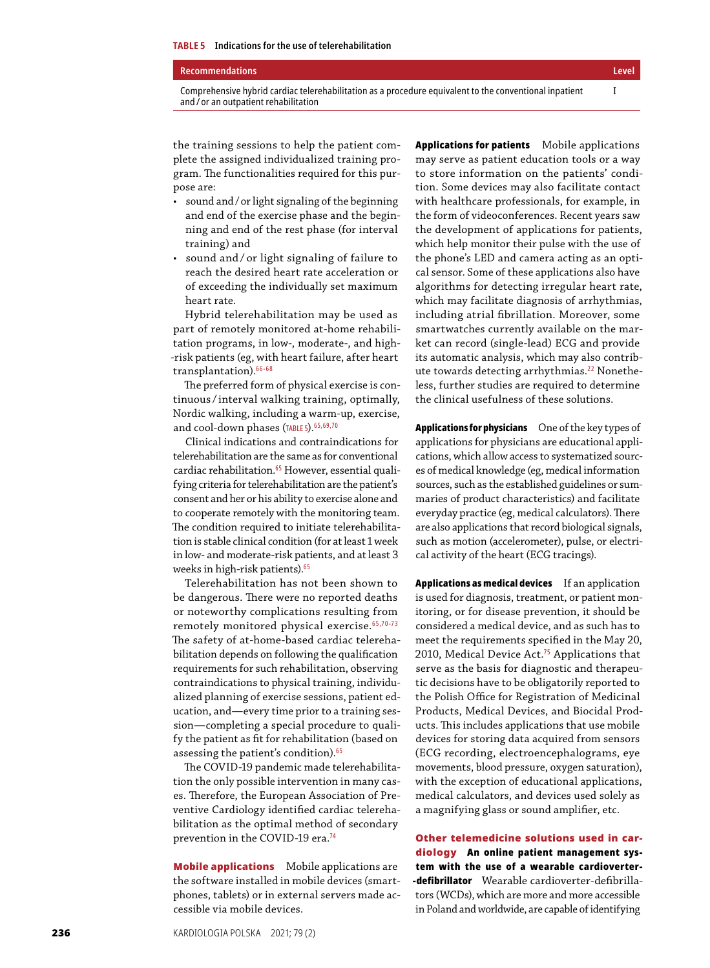#### **Recommendations Level**

Comprehensive hybrid cardiac telerehabilitation as a procedure equivalent to the conventional inpatient and/ or an outpatient rehabilitation

the training sessions to help the patient complete the assigned individualized training program. The functionalities required for this pur-

- pose are: • sound and/or light signaling of the beginning and end of the exercise phase and the beginning and end of the rest phase (for interval training) and
- sound and/or light signaling of failure to reach the desired heart rate acceleration or of exceeding the individually set maximum heart rate.

Hybrid telerehabilitation may be used as part of remotely monitored at-home rehabilitation programs, in low-, moderate-, and high-‑risk patients (eg, with heart failure, after heart transplantation).<sup>66-68</sup>

The preferred form of physical exercise is continuous /interval walking training, optimally, Nordic walking, including a warm‑up, exercise, and cool-down phases (TABLE 5). 65,69,70

Clinical indications and contraindications for telerehabilitation are the same as for conventional cardiac rehabilitation.<sup>65</sup> However, essential qualifying criteria for telerehabilitation are the patient's consent and her or his ability to exercise alone and to cooperate remotely with the monitoring team. The condition required to initiate telerehabilitation is stable clinical condition (for at least 1 week in low- and moderate-risk patients, and at least 3 weeks in high-risk patients).<sup>65</sup>

Telerehabilitation has not been shown to be dangerous. There were no reported deaths or noteworthy complications resulting from remotely monitored physical exercise.<sup>65,70-73</sup> The safety of at-home-based cardiac telerehabilitation depends on following the qualification requirements for such rehabilitation, observing contraindications to physical training, individualized planning of exercise sessions, patient education, and—every time prior to a training session—completing a special procedure to qualify the patient as fit for rehabilitation (based on assessing the patient's condition).<sup>65</sup>

The COVID-19 pandemic made telerehabilitation the only possible intervention in many cases. Therefore, the European Association of Pre‑ ventive Cardiology identified cardiac telerehabilitation as the optimal method of secondary prevention in the COVID-19 era.<sup>74</sup>

Mobile applications Mobile applications are the software installed in mobile devices (smartphones, tablets) or in external servers made ac‑ cessible via mobile devices.

Applications for patients Mobile applications may serve as patient education tools or a way to store information on the patients' condition. Some devices may also facilitate contact with healthcare professionals, for example, in the form of videoconferences. Recent years saw the development of applications for patients, which help monitor their pulse with the use of the phone's LED and camera acting as an optical sensor. Some of these applications also have algorithms for detecting irregular heart rate, which may facilitate diagnosis of arrhythmias, including atrial fibrillation. Moreover, some smartwatches currently available on the market can record (single‑lead) ECG and provide its automatic analysis, which may also contribute towards detecting arrhythmias.<sup>22</sup> Nonetheless, further studies are required to determine the clinical usefulness of these solutions.

Applications for physicians One of the key types of applications for physicians are educational applications, which allow access to systematized sources of medical knowledge (eg, medical information sources, such as the established guidelines or summaries of product characteristics) and facilitate everyday practice (eg, medical calculators). There are also applications that record biological signals, such as motion (accelerometer), pulse, or electrical activity of the heart (ECG tracings).

Applications as medical devices If an application is used for diagnosis, treatment, or patient monitoring, or for disease prevention, it should be considered a medical device, and as such has to meet the requirements specified in the May 20, 2010, Medical Device Act.<sup>75</sup> Applications that serve as the basis for diagnostic and therapeutic decisions have to be obligatorily reported to the Polish Office for Registration of Medicinal Products, Medical Devices, and Biocidal Prod‑ ucts. This includes applications that use mobile devices for storing data acquired from sensors (ECG recording, electroencephalograms, eye movements, blood pressure, oxygen saturation), with the exception of educational applications, medical calculators, and devices used solely as a magnifying glass or sound amplifier, etc.

Other telemedicine solutions used in cardiology An online patient management system with the use of a wearable cardioverter **-defibrillator** Wearable cardioverter-defibrillators (WCDs), which are more and more accessible in Poland and worldwide, are capable of identifying

**236** KARDIOLOGIA POLSKA 2021; 79 (2)

I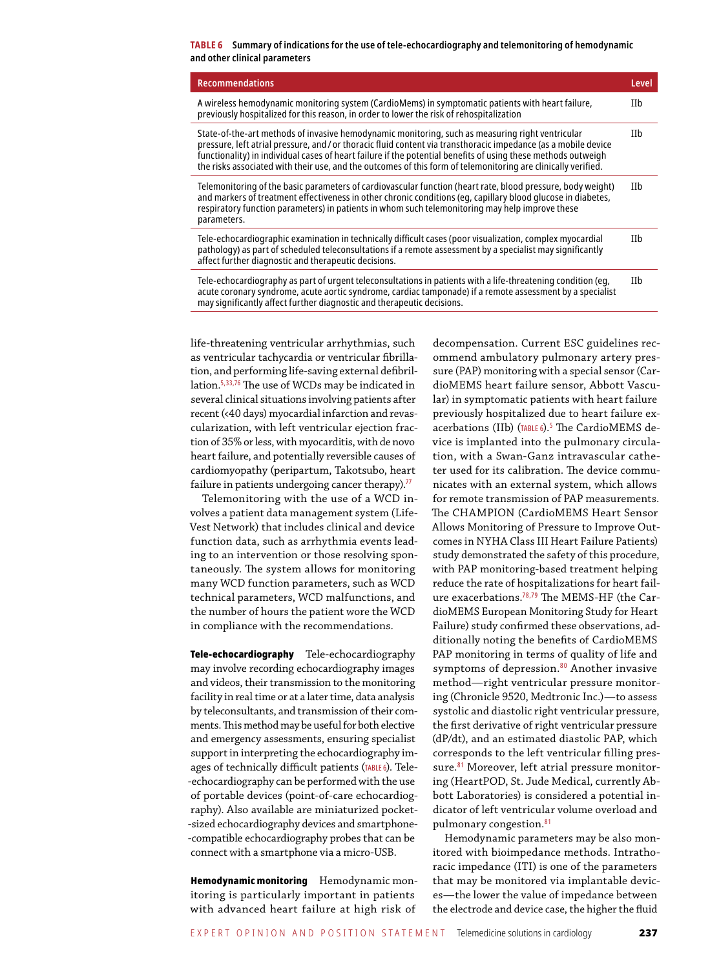**Table 6 Summary of indications for the use of tele‑echocardiography and telemonitoring of hemodynamic and other clinical parameters**

| <b>Recommendations</b>                                                                                                                                                                                                                                                                                                                                                                                                                                | Level |
|-------------------------------------------------------------------------------------------------------------------------------------------------------------------------------------------------------------------------------------------------------------------------------------------------------------------------------------------------------------------------------------------------------------------------------------------------------|-------|
| A wireless hemodynamic monitoring system (CardioMems) in symptomatic patients with heart failure,<br>previously hospitalized for this reason, in order to lower the risk of rehospitalization                                                                                                                                                                                                                                                         | IIb   |
| State-of-the-art methods of invasive hemodynamic monitoring, such as measuring right ventricular<br>pressure, left atrial pressure, and / or thoracic fluid content via transthoracic impedance (as a mobile device<br>functionality) in individual cases of heart failure if the potential benefits of using these methods outweigh<br>the risks associated with their use, and the outcomes of this form of telemonitoring are clinically verified. | IIb   |
| Telemonitoring of the basic parameters of cardiovascular function (heart rate, blood pressure, body weight)<br>and markers of treatment effectiveness in other chronic conditions (eq, capillary blood glucose in diabetes,<br>respiratory function parameters) in patients in whom such telemonitoring may help improve these<br>parameters.                                                                                                         | IIb   |
| Tele-echocardiographic examination in technically difficult cases (poor visualization, complex myocardial<br>pathology) as part of scheduled teleconsultations if a remote assessment by a specialist may significantly<br>affect further diagnostic and therapeutic decisions.                                                                                                                                                                       | IIb   |
| Tele-echocardiography as part of urgent teleconsultations in patients with a life-threatening condition (eg.<br>acute coronary syndrome, acute aortic syndrome, cardiac tamponade) if a remote assessment by a specialist<br>may significantly affect further diagnostic and therapeutic decisions.                                                                                                                                                   | IIb   |

life-threatening ventricular arrhythmias, such as ventricular tachycardia or ventricular fibrillation, and performing life-saving external defibrillation.5,33,76 The use of WCDs may be indicated in several clinical situations involving patients after recent (<40 days) myocardial infarction and revas‑ cularization, with left ventricular ejection fraction of 35% or less, with myocarditis, with de novo heart failure, and potentially reversible causes of cardiomyopathy (peripartum, Takotsubo, heart failure in patients undergoing cancer therapy). $^{77}$ 

Telemonitoring with the use of a WCD in‑ volves a patient data management system (Life-Vest Network) that includes clinical and device function data, such as arrhythmia events leading to an intervention or those resolving spontaneously. The system allows for monitoring many WCD function parameters, such as WCD technical parameters, WCD malfunctions, and the number of hours the patient wore the WCD in compliance with the recommendations.

Tele-echocardiography Tele-echocardiography may involve recording echocardiography images and videos, their transmission to the monitoring facility in real time or at a later time, data analysis by teleconsultants, and transmission of their comments. This method may be useful for both elective and emergency assessments, ensuring specialist support in interpreting the echocardiography images of technically difficult patients (TABLE 6). Tele-‑echocardiography can be performed with the use of portable devices (point-of-care echocardiography). Also available are miniaturized pocket--sized echocardiography devices and smartphone-‑compatible echocardiography probes that can be connect with a smartphone via a micro‑USB.

Hemodynamic monitoring Hemodynamic monitoring is particularly important in patients with advanced heart failure at high risk of

decompensation. Current ESC guidelines rec‑ ommend ambulatory pulmonary artery pressure (PAP) monitoring with a special sensor (CardioMEMS heart failure sensor, Abbott Vascular) in symptomatic patients with heart failure previously hospitalized due to heart failure exacerbations (IIb) (TABLE 6).<sup>5</sup> The CardioMEMS device is implanted into the pulmonary circula‑ tion, with a Swan-Ganz intravascular catheter used for its calibration. The device communicates with an external system, which allows for remote transmission of PAP measurements. The CHAMPION (CardioMEMS Heart Sensor Allows Monitoring of Pressure to Improve Outcomes in NYHA Class III Heart Failure Patients) study demonstrated the safety of this procedure, with PAP monitoring‑based treatment helping reduce the rate of hospitalizations for heart fail‑ ure exacerbations.<sup>78,79</sup> The MEMS-HF (the CardioMEMS European Monitoring Study for Heart Failure) study confirmed these observations, additionally noting the benefits of CardioMEMS PAP monitoring in terms of quality of life and symptoms of depression.<sup>80</sup> Another invasive method—right ventricular pressure monitoring (Chronicle 9520, Medtronic Inc.)—to assess systolic and diastolic right ventricular pressure, the first derivative of right ventricular pressure (dP/dt), and an estimated diastolic PAP, which corresponds to the left ventricular filling pressure.<sup>81</sup> Moreover, left atrial pressure monitoring (HeartPOD, St. Jude Medical, currently Abbott Laboratories) is considered a potential indicator of left ventricular volume overload and pulmonary congestion.<sup>81</sup>

Hemodynamic parameters may be also monitored with bioimpedance methods. Intrathoracic impedance (ITI) is one of the parameters that may be monitored via implantable devices—the lower the value of impedance between the electrode and device case, the higher the fluid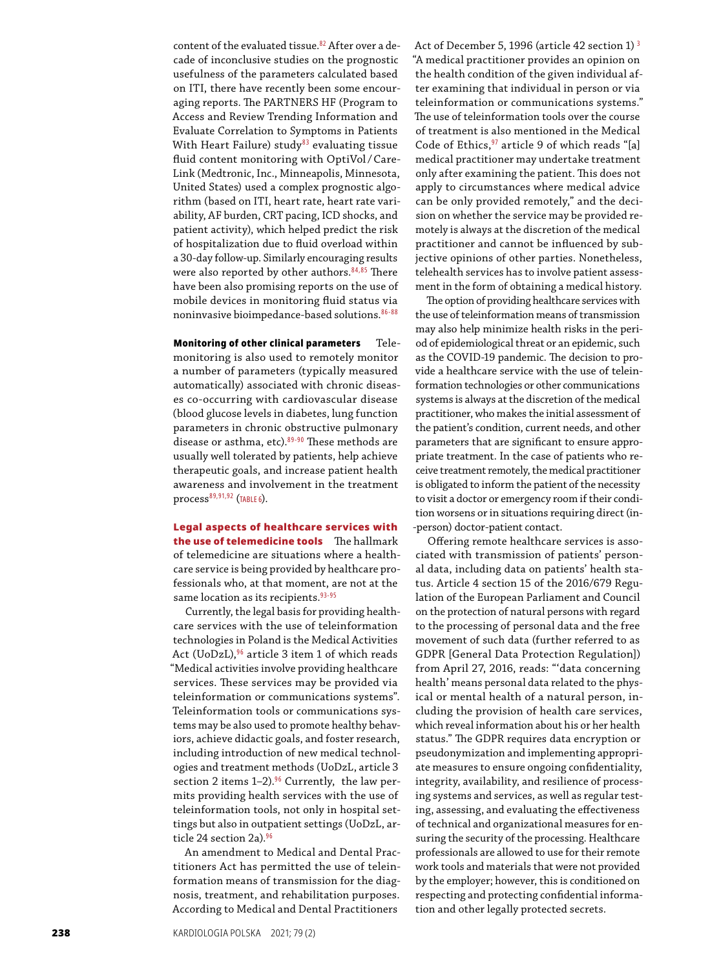content of the evaluated tissue.<sup>82</sup> After over a decade of inconclusive studies on the prognostic usefulness of the parameters calculated based on ITI, there have recently been some encouraging reports. The PARTNERS HF (Program to Access and Review Trending Information and Evaluate Correlation to Symptoms in Patients With Heart Failure) study $83$  evaluating tissue fluid content monitoring with OptiVol/Care-Link (Medtronic, Inc., Minneapolis, Minnesota, United States) used a complex prognostic algorithm (based on ITI, heart rate, heart rate variability, AF burden, CRT pacing, ICD shocks, and patient activity), which helped predict the risk of hospitalization due to fluid overload within a 30‑day follow‑up. Similarly encouraging results were also reported by other authors.<sup>84,85</sup> There have been also promising reports on the use of mobile devices in monitoring fluid status via noninvasive bioimpedance-based solutions.<sup>86-88</sup>

Monitoring of other clinical parameters Telemonitoring is also used to remotely monitor a number of parameters (typically measured automatically) associated with chronic diseases co‑occurring with cardiovascular disease (blood glucose levels in diabetes, lung function parameters in chronic obstructive pulmonary disease or asthma, etc).<sup>89-90</sup> These methods are usually well tolerated by patients, help achieve therapeutic goals, and increase patient health awareness and involvement in the treatment  $process<sup>89,91,92</sup>$  (TABLE 6).

# Legal aspects of healthcare services with

the use of telemedicine tools The hallmark of telemedicine are situations where a healthcare service is being provided by healthcare professionals who, at that moment, are not at the same location as its recipients.<sup>93-95</sup>

Currently, the legal basis for providing healthcare services with the use of teleinformation technologies in Poland is the Medical Activities Act (UoDzL), $96$  article 3 item 1 of which reads "Medical activities involve providing healthcare services. These services may be provided via teleinformation or communications systems". Teleinformation tools or communications sys‑ tems may be also used to promote healthy behaviors, achieve didactic goals, and foster research, including introduction of new medical technologies and treatment methods (UoDzL, article 3 section 2 items 1-2).<sup>96</sup> Currently, the law permits providing health services with the use of teleinformation tools, not only in hospital settings but also in outpatient settings (UoDzL, ar‑ ticle 24 section 2a).<sup>96</sup>

An amendment to Medical and Dental Practitioners Act has permitted the use of teleinformation means of transmission for the diagnosis, treatment, and rehabilitation purposes. According to Medical and Dental Practitioners

Act of December 5, 1996 (article 42 section 1) <sup>3</sup> "A medical practitioner provides an opinion on the health condition of the given individual after examining that individual in person or via teleinformation or communications systems." The use of teleinformation tools over the course of treatment is also mentioned in the Medical Code of Ethics,  $97$  article 9 of which reads "[a] medical practitioner may undertake treatment only after examining the patient. This does not apply to circumstances where medical advice can be only provided remotely," and the decision on whether the service may be provided remotely is always at the discretion of the medical practitioner and cannot be influenced by subjective opinions of other parties. Nonetheless, telehealth services has to involve patient assessment in the form of obtaining a medical history.

The option of providing healthcare services with the use of teleinformation means of transmission may also help minimize health risks in the period of epidemiological threat or an epidemic, such as the COVID-19 pandemic. The decision to provide a healthcare service with the use of teleinformation technologies or other communications systems is always at the discretion of the medical practitioner, who makes the initial assessment of the patient's condition, current needs, and other parameters that are significant to ensure appropriate treatment. In the case of patients who receive treatment remotely, the medical practitioner is obligated to inform the patient of the necessity to visit a doctor or emergency room if their condition worsens or in situations requiring direct (in-‑person) doctor‑patient contact.

Offering remote healthcare services is associated with transmission of patients' personal data, including data on patients' health status. Article 4 section 15 of the 2016/679 Regulation of the European Parliament and Council on the protection of natural persons with regard to the processing of personal data and the free movement of such data (further referred to as GDPR [General Data Protection Regulation]) from April 27, 2016, reads: "'data concerning health' means personal data related to the physical or mental health of a natural person, including the provision of health care services, which reveal information about his or her health status." The GDPR requires data encryption or pseudonymization and implementing appropriate measures to ensure ongoing confidentiality, integrity, availability, and resilience of processing systems and services, as well as regular testing, assessing, and evaluating the effectiveness of technical and organizational measures for ensuring the security of the processing. Healthcare professionals are allowed to use for their remote work tools and materials that were not provided by the employer; however, this is conditioned on respecting and protecting confidential information and other legally protected secrets.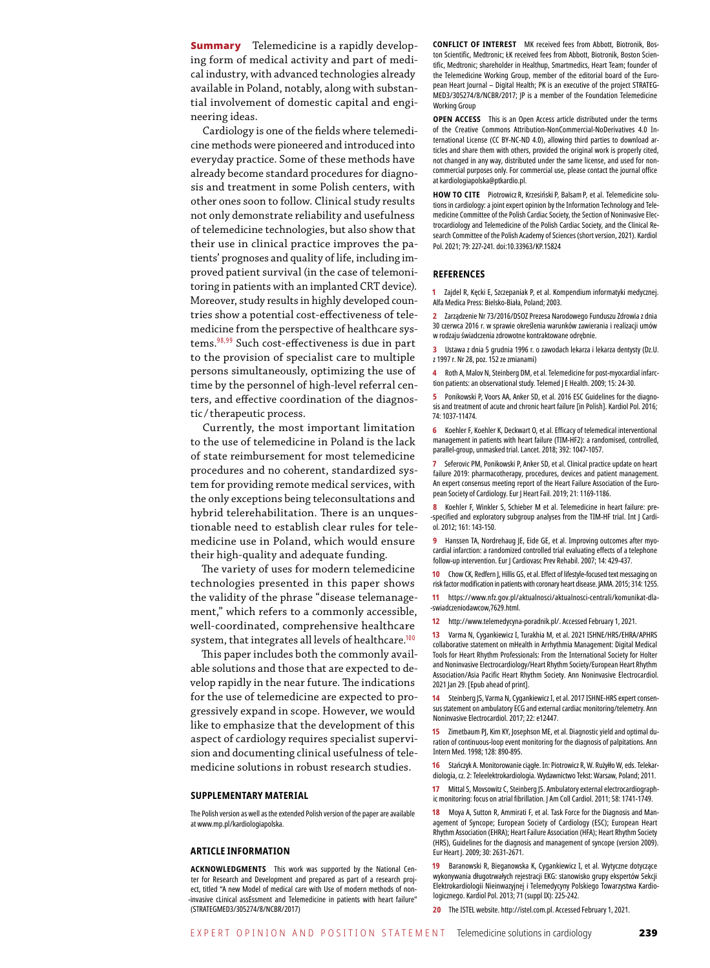**Summary** Telemedicine is a rapidly developing form of medical activity and part of medical industry, with advanced technologies already available in Poland, notably, along with substantial involvement of domestic capital and engineering ideas.

Cardiology is one of the fields where telemedicine methods were pioneered and introduced into everyday practice. Some of these methods have already become standard procedures for diagnosis and treatment in some Polish centers, with other ones soon to follow. Clinical study results not only demonstrate reliability and usefulness of telemedicine technologies, but also show that their use in clinical practice improves the pa‑ tients' prognoses and quality of life, including im‑ proved patient survival (in the case of telemonitoring in patients with an implanted CRT device). Moreover, study results in highly developed countries show a potential cost-effectiveness of telemedicine from the perspective of healthcare systems.<sup>98,99</sup> Such cost-effectiveness is due in part to the provision of specialist care to multiple persons simultaneously, optimizing the use of time by the personnel of high-level referral centers, and effective coordination of the diagnostic/therapeutic process.

Currently, the most important limitation to the use of telemedicine in Poland is the lack of state reimbursement for most telemedicine procedures and no coherent, standardized system for providing remote medical services, with the only exceptions being teleconsultations and hybrid telerehabilitation. There is an unquestionable need to establish clear rules for telemedicine use in Poland, which would ensure their high-quality and adequate funding.

The variety of uses for modern telemedicine technologies presented in this paper shows the validity of the phrase "disease telemanagement," which refers to a commonly accessible, well‑coordinated, comprehensive healthcare system, that integrates all levels of healthcare.<sup>100</sup>

This paper includes both the commonly avail‑ able solutions and those that are expected to develop rapidly in the near future. The indications for the use of telemedicine are expected to progressively expand in scope. However, we would like to emphasize that the development of this aspect of cardiology requires specialist supervision and documenting clinical usefulness of telemedicine solutions in robust research studies.

## **Supplementary material**

The Polish version as well as the extended Polish version of the paper are available at [www.mp.pl/kardiologiapolska](https://www.doi.org/10.33963/KP.15824).

#### **Article information**

**Acknowledgments** This work was supported by the National Center for Research and Development and prepared as part of a research project, titled "A new Model of medical care with Use of modern methods of noninvasive cLinical assEssment and Telemedicine in patients with heart failure" (STRATEGMED3/305274/8/NCBR/2017)

**Conflict of interest** MK received fees from Abbott, Biotronik, Boston Scientific, Medtronic; ŁK received fees from Abbott, Biotronik, Boston Scientific, Medtronic; shareholder in Healthup, Smartmedics, Heart Team; founder of the Telemedicine Working Group, member of the editorial board of the European Heart Journal – Digital Health; PK is an executive of the project STRATEG-MED3/305274/8/NCBR/2017; JP is a member of the Foundation Telemedicine Working Group

**Open access** This is an Open Access article distributed under the terms of the Creative Commons Attribution‑NonCommercial‑NoDerivatives 4.0 International License (CC BY‑NC‑ND 4.0), allowing third parties to download articles and share them with others, provided the original work is properly cited, not changed in any way, distributed under the same license, and used for noncommercial purposes only. For commercial use, please contact the journal office at kardiologiapolska@ptkardio.pl.

**How to cite** Piotrowicz R, Krzesiński P, BalsamP, et al. Telemedicine solutions in cardiology: a joint expert opinion bythe Information Technology and Telemedicine Committee of the Polish Cardiac Society, the Section of Noninvasive Electrocardiology and Telemedicine of the Polish Cardiac Society, and the Clinical Research Committee of the Polish Academy of Sciences (short version, 2021). Kardiol Pol. 2021; 79: 227-241. doi:10.33963/KP.15824

#### **References**

**1** Zajdel R, Kęcki E, Szczepaniak P, et al. Kompendium informatyki medycznej. Alfa Medica Press: Bielsko‑Biała, Poland; 2003.

**2** Zarządzenie Nr 73/2016/DSOZ Prezesa Narodowego Funduszu Zdrowia z dnia 30 czerwca 2016 r. w sprawie określenia warunków zawierania i realizacji umów w rodzaju świadczenia zdrowotne kontraktowane odrębnie.

**3** Ustawa z dnia 5 grudnia 1996 r. o zawodach lekarza i lekarza dentysty (Dz.U. z 1997 r. Nr 28, poz. 152 ze zmianami)

**4** Roth A, Malov N, Steinberg DM, et al. Telemedicine for post-myocardial infarction patients: [an observational](https://doi.org/10.1089/tmj.2008.0068) study. Telemed J E Health. 2009; 15: 24-30.

**5** Ponikowski P, Voors AA, Anker SD, et al. 2016 ESC Guidelines for [the diagno](https://doi.org/10.5603/KP.2016.0141)sis and [treatment](https://doi.org/10.5603/KP.2016.0141) of acute and chronic heart failure [in Polish]. Kardiol Pol. 2016; 74: [1037-11474.](https://doi.org/10.5603/KP.2016.0141)

**6** Koehler F, Koehler K, Deckwart O, et al. Efficacy of telemedical [interventional](https://doi.org/10.1016/S0140-6736(18)31880-4) management in patients with heart failure (TIM‑HF2): [a randomised,](https://doi.org/10.1016/S0140-6736(18)31880-4) controlled, parallel-group, unmasked trial. Lancet. 2018; 392: 1047-1057.

**7** Seferovic PM, [Ponikowski](https://doi.org/10.1002/ejhf.1531) P, Anker SD, et al. Clinical practice update on heart failure 2019: [pharmacotherapy,](https://doi.org/10.1002/ejhf.1531) procedures, devices and patient management. An expert consensus meeting report of the Heart Failure [Association](https://doi.org/10.1002/ejhf.1531) of the Euro-pean Society of [Cardiology.](https://doi.org/10.1002/ejhf.1531) Eur J Heart Fail. 2019; 21: 1169-1186.

**8** Koehler F, Winkler S, Schieber M et al. [Telemedicine](https://doi.org/10.1016/j.ijcard.2011.09.007) in heart failure: prespecified and [exploratory](https://doi.org/10.1016/j.ijcard.2011.09.007) subgroup analyses from the TIM‑HF trial. Int J Cardiol. 2012; 161: [143-150.](https://doi.org/10.1016/j.ijcard.2011.09.007)

**9** Hanssen TA, [Nordrehaug](https://doi.org/10.1097/HJR.0b013e32801da123) JE, Eide GE, et al. Improving outcomes after myocardial infarction: [a randomized](https://doi.org/10.1097/HJR.0b013e32801da123) controlled trial evaluating effects of a telephone follow‑up [intervention.](https://doi.org/10.1097/HJR.0b013e32801da123) Eur J Cardiovasc Prev Rehabil. 2007; 14: 429-437.

**10** Chow CK, Redfern J, Hillis GS, et al. Effect of lifestyle-focused text messaging on risk factor modification in patients with coronary heart disease. JAMA. 2015; 314: 1255.

**11** https://www.nfz.gov.pl/aktualnosci/aktualnosci‑centrali/komunikat‑dlaswiadczeniodawcow,7629.html.

**12** http://www.telemedycyna‑poradnik.pl/. Accessed February 1, 2021.

**13** Varma N, Cygankiewicz I, Turakhia M, et al. 2021 [ISHNE/HRS/EHRA/APHRS](https://doi.org/10.1111/anec.12795) collaborative statement on mHealth in Arrhythmia [Management:](https://doi.org/10.1111/anec.12795) Digital Medical Tools for Heart Rhythm Professionals: From [the International](https://doi.org/10.1111/anec.12795) Society for Holter and Noninvasive [Electrocardiology/Heart](https://doi.org/10.1111/anec.12795) Rhythm Society/European Heart Rhythm [Association/Asia](https://doi.org/10.1111/anec.12795) Pacific Heart Rhythm Society. Ann Noninvasive Electrocardiol. [2021 Jan](https://doi.org/10.1111/anec.12795) 29. [Epub ahead of print].

**14** Steinberg JS, Varma N, [Cygankiewicz](https://doi.org/10.1111/anec.12447) I, et al. 2017 ISHNE‑HRS expert consensus statement on ambulatory ECG and external cardiac [monitoring/telemetry.](https://doi.org/10.1111/anec.12447) Ann Noninvasive [Electrocardiol.](https://doi.org/10.1111/anec.12447) 2017; 22: e12447.

**15** [Zimetbaum](https://doi.org/10.7326/0003-4819-128-11-199806010-00002) PJ, Kim KY, Josephson ME, et al. Diagnostic yield and optimal duration of continuous-loop event monitoring for the diagnosis of palpitations. Ann Intern Med. 1998; 128: [890-895.](https://doi.org/10.7326/0003-4819-128-11-199806010-00002)

**16** Stańczyk A. Monitorowanie ciągłe. In: Piotrowicz R, W. Rużyłło W, eds.Telekardiologia, cz. 2: Teleelektrokardiologia. Wydawnictwo Tekst: Warsaw, Poland; 2011.

**17** Mittal S, Movsowitz C, Steinberg JS. Ambulatory external [electrocardiograph](https://doi.org/10.1016/j.jacc.2011.07.026)ic [monitoring:](https://doi.org/10.1016/j.jacc.2011.07.026) focus on atrial fibrillation. | Am Coll Cardiol. 2011; 58: 1741-1749.

**18** Moya A, Sutton R, Ammirati F, et al. Task Force for [the Diagnosis](https://doi.org/10.1093/eurheartj/ehp298) and Management of Syncope; European Society of [Cardiology](https://doi.org/10.1093/eurheartj/ehp298) (ESC); European Heart Rhythm Association (EHRA); Heart Failure Association (HFA); Heart Rhythm Society (HRS), Guidelines for [the diagnosis](https://doi.org/10.1093/eurheartj/ehp298) and management of syncope (version 2009). Eur Heart J. 2009; 30: [2631-2671.](https://doi.org/10.1093/eurheartj/ehp298)

**19** Baranowski R, Bieganowska K, Cygankiewicz I, et al. Wytyczne dotyczące wykonywania długotrwałych rejestracji EKG: stanowisko grupy ekspertów Sekcji Elektrokardiologii Nieinwazyjnej i Telemedycyny Polskiego Towarzystwa Kardiologicznego. Kardiol Pol. 2013; 71 (suppl IX): 225-242.

**20** The ISTEL website. http://istel.com.pl. Accessed February 1, 2021.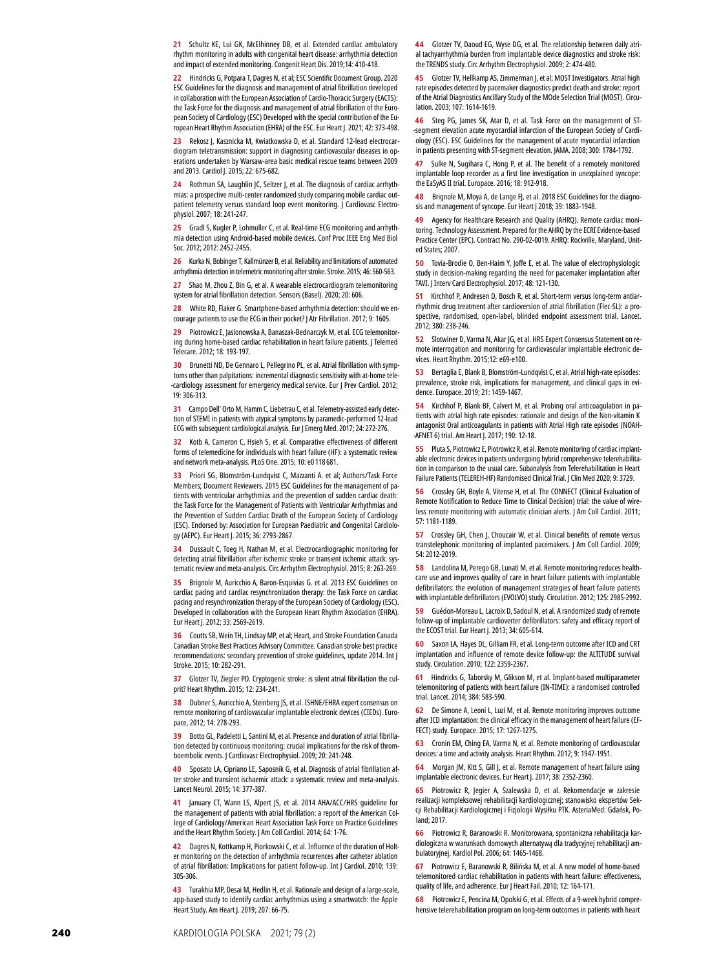**21** Schultz KE, Lui GK, [McElhinney](https://doi.org/10.1111/chd.12736) DB, et al. Extended cardiac ambulatory rhythm [monitoring](https://doi.org/10.1111/chd.12736) in adults with congenital heart disease: arrhythmia detection and impact of extended [monitoring.](https://doi.org/10.1111/chd.12736) Congenit Heart Dis. 2019;14: 410-418.

**22** Hindricks G, Potpara T, Dagres N, et al; ESC Scientific [Document](https://doi.org/10.1093/eurheartj/ehaa612) Group. 2020 ESC Guidelines for [the diagnosis](https://doi.org/10.1093/eurheartj/ehaa612) and management of atrial fibrillation developed in collaboration with the European Association of Cardio-Thoracic Surgery (EACTS): the Task Force for [the diagnosis](https://doi.org/10.1093/eurheartj/ehaa612) and management of atrial fibrillation of the European Society of [Cardiology\(ESC\)](https://doi.org/10.1093/eurheartj/ehaa612) Developed with the special contribution of the European Heart Rhythm [Association](https://doi.org/10.1093/eurheartj/ehaa612) (EHRA) of the ESC. Eur Heart J. 2021; 42: 373-498.

**23** Rekosz J, Kasznicka M, [Kwiatkowska](https://doi.org/10.5603/CJ.a2015.0059) D, et al. Standard 12‑lead electrocardiogram [teletransmission:](https://doi.org/10.5603/CJ.a2015.0059) support in diagnosing cardiovascular diseases in operations undertaken by [Warsaw‑area](https://doi.org/10.5603/CJ.a2015.0059) basic medical rescue teams between 2009 [and 2013.](https://doi.org/10.5603/CJ.a2015.0059) Cardiol J. 2015: 22: 675-682.

**24** Rothman SA, Laughlin JC, Seltzer J, et al. [The diagnosis](https://doi.org/10.1111/j.1540-8167.2006.00729.x) of cardiac arrhythmias: [a prospective](https://doi.org/10.1111/j.1540-8167.2006.00729.x) multi‑center randomized study comparing mobile cardiac outpatient telemetry versus standard loop event [monitoring.](https://doi.org/10.1111/j.1540-8167.2006.00729.x) J Cardiovasc Electrophysiol. 2007; 18: [241-247.](https://doi.org/10.1111/j.1540-8167.2006.00729.x)

**25** Gradl S, Kugler P, Lohmuller C, et al. Real-time ECG [monitoring](https://doi.org/10.1109/EMBC.2012.6346460) and arrhythmia detection using [Android‑based](https://doi.org/10.1109/EMBC.2012.6346460) mobile devices. Conf Proc IEEE Eng Med Biol Soc. 2012; 2012: [2452-2455.](https://doi.org/10.1109/EMBC.2012.6346460)

26 Kurka N, Bobinger T, Kallmünzer B, et al. Reliability and limitations of automated arrhythmia detection in telemetric monitoring after stroke. Stroke. 2015; 46: 560-563.

**27** Shao M, Zhou Z, Bin G, et al. A wearable [electrocardiogram](https://doi.org/10.3390/s20030606) telemonitoring system for atrial [fibrillation](https://doi.org/10.3390/s20030606) detection. Sensors (Basel). 2020; 20: 606.

28 White RD, Flaker G. Smartphone-based arrhythmia detection: should we encourage patients to use the ECG in their pocket? J Atr Fibrillation. 2017; 9: 1605.

**29** Piotrowicz E, Jasionowska A, [Banaszak‑Bednarczyk](https://doi.org/10.1258/jtt.2012.111005) M, et al. ECG telemonitoring during home-based cardiac [rehabilitation](https://doi.org/10.1258/jtt.2012.111005) in heart failure patients. | Telemed Telecare. 2012; 18: [193-197.](https://doi.org/10.1258/jtt.2012.111005)

**30** Brunetti ND, De Gennaro L, Pellegrino PL, et al. Atrial [fibrillation](https://doi.org/10.1177/1741826711406060) with symptoms other than [palpitations:](https://doi.org/10.1177/1741826711406060) incremental diagnostic sensitivity with at-home telecardiology [assessment](https://doi.org/10.1177/1741826711406060) for emergency medical service. Eur J Prev Cardiol. 2012; 19: [306-313.](https://doi.org/10.1177/1741826711406060)

**31** Campo Dell' Orto M, Hamm C, Liebetrau C, et al. Telemetry-assisted early detection of STEMI in patients with atypical symptoms by paramedic-performed 12-lead ECG with subsequent cardiological analysis. Eur J Emerg Med. 2017; 24: 272-276.

**32** Kotb A, Cameron C, Hsieh S, et al. Comparative [effectiveness](https://doi.org/10.1371/journal.pone.0118681) of different forms of [telemedicine](https://doi.org/10.1371/journal.pone.0118681) for individuals with heart failure (HF): a systematic review and network [meta‑analysis.](https://doi.org/10.1371/journal.pone.0118681) PLoS One. 2015; 10: e0 118 681.

**33** Priori SG, Blomström‑Lundqvist C, Mazzanti A. et al; Authors/Task Force Members; Document Reviewers. 2015 ESC Guidelines for the management of patients with ventricular arrhythmias and the prevention of sudden cardiac death: the Task Force for the Management of Patients with Ventricular Arrhythmias and the Prevention of Sudden Cardiac Death of the European Society of Cardiology (ESC). Endorsed by: Association for European Paediatric and Congenital Cardiology (AEPC). Eur Heart J. 2015; 36: 2793-2867.

**34** Dussault C, Toeg H, Nathan M, et al. [Electrocardiographic](https://doi.org/10.1161/CIRCEP.114.002521) monitoring for detecting atrial [fibrillation](https://doi.org/10.1161/CIRCEP.114.002521) after ischemic stroke or transient ischemic attack: systematic review and meta‑analysis. Circ Arrhythm [Electrophysiol.](https://doi.org/10.1161/CIRCEP.114.002521) 2015; 8: 263-269.

**35** Brignole M, Auricchio A, Baron‑Esquivias G. et al. 2013 ESC Guidelines on cardiac pacing and cardiac resynchronization therapy: the Task Force on cardiac pacing and resynchronization therapy of the European Society of Cardiology(ESC). Developed in collaboration with the European Heart Rhythm Association (EHRA). Eur Heart J. 2012; 33: 2569-2619.

**36** Coutts SB, Wein TH, Lindsay MP, et al; Heart, and Stroke [Foundation](https://doi.org/10.1111/ijs.12439) Canada Canadian Stroke Best Practices Advisory [Committee.](https://doi.org/10.1111/ijs.12439) Canadian stroke best practice [recommendations:](https://doi.org/10.1111/ijs.12439) secondary prevention of stroke guidelines, update 2014. Int J Stroke. 2015; 10: [282-291.](https://doi.org/10.1111/ijs.12439)

**37** Glotzer TV, Ziegler PD. [Cryptogenic](https://doi.org/10.1016/j.hrthm.2014.09.058) stroke: is silent atrial fibrillation the culprit? Heart Rhythm. 2015; 12: [234-241.](https://doi.org/10.1016/j.hrthm.2014.09.058)

**38** Dubner S, Auricchio A, Steinberg JS, et al. [ISHNE/EHRA](https://doi.org/10.1093/europace/eur303) expert consensus on remote monitoring of [cardiovascular](https://doi.org/10.1093/europace/eur303) implantable electronic devices (CIEDs). Europace, 2012; 14: [278-293.](https://doi.org/10.1093/europace/eur303)

**39** Botto GL, Padeletti L, Santini M, et al. Presence and duration of atrial fibrillation detected by continuous monitoring: crucial [implications](https://doi.org/10.1111/j.1540-8167.2008.01320.x) for the risk of thromboembolic events. J Cardiovasc [Electrophysiol.](https://doi.org/10.1111/j.1540-8167.2008.01320.x) 2009; 20: 241-248.

**40** Sposato LA, Cipriano LE, Saposnik G, et al. Diagnosis of atrial [fibrillation](https://doi.org/10.1016/S1474-4422(15)70027-X) after stroke and transient ischaemic attack: a systematic review and meta-analysis. Lancet Neurol. 2015; 14: [377-387.](https://doi.org/10.1016/S1474-4422(15)70027-X)

**41** January CT, Wann LS, Alpert JS, et al. 2014 [AHA/ACC/HRS](https://doi.org/10.1016/j.jacc.2014.03.022) guideline for [the management](https://doi.org/10.1016/j.jacc.2014.03.022) of patients with atrial fibrillation: a report of the American College of [Cardiology/American](https://doi.org/10.1016/j.jacc.2014.03.022) Heart Association Task Force on Practice Guidelines and [the Heart](https://doi.org/10.1016/j.jacc.2014.03.022) Rhythm Society. J Am Coll Cardiol. 2014; 64: 1-76.

**42** Dagres N, Kottkamp H, Piorkowski C, et al. Influence of [the duration](https://doi.org/10.1016/j.ijcard.2008.10.004) of Holter monitoring on [the detection](https://doi.org/10.1016/j.ijcard.2008.10.004) of arrhythmia recurrences after catheter ablation of atrial fibrillation: [Implications](https://doi.org/10.1016/j.ijcard.2008.10.004) for patient follow‑up. Int J Cardiol. 2010; 139: [305-306.](https://doi.org/10.1016/j.ijcard.2008.10.004)

**43** Turakhia MP, Desai M, Hedlin H, et al. Rationale and design of [a large‑scale,](https://doi.org/10.1016/j.ahj.2018.09.002) app‑based study to identify cardiac arrhythmias using [a smartwatch:](https://doi.org/10.1016/j.ahj.2018.09.002) the Apple Heart Study. Am Heart J. 2019; 207: [66-75.](https://doi.org/10.1016/j.ahj.2018.09.002)

**44** Glotzer TV, Daoud EG, Wyse DG, et al. [The relationship](https://doi.org/10.1161/CIRCEP.109.849638) between daily atrial [tachyarrhythmia](https://doi.org/10.1161/CIRCEP.109.849638) burden from implantable device diagnostics and stroke risk: the TRENDS study. Circ Arrhythm [Electrophysiol.](https://doi.org/10.1161/CIRCEP.109.849638) 2009; 2: 474-480.

45 Glotzer TV, Hellkamp AS, Zimmerman J, et al; MOST Investigators. Atrial high rate episodes detected by pacemaker [diagnostics](https://doi.org/10.1161/01.CIR.0000057981.70380.45) predict death and stroke: report of the Atrial [Diagnostics](https://doi.org/10.1161/01.CIR.0000057981.70380.45) Ancillary Study of the MOde Selection Trial (MOST). Circu-lation. 2003; 107: [1614-1619.](https://doi.org/10.1161/01.CIR.0000057981.70380.45)

**46** Steg PG, James SK, Atar D, et al. Task Force on the management of STsegment elevation acute myocardial infarction of the European Society of Cardiology (ESC). ESC Guidelines for the management of acute myocardial infarction in patients presenting with ST‑segment elevation. JAMA. 2008; 300: 1784-1792.

**47** Sulke N, Sugihara C, Hong P, et al. [The benefit](https://doi.org/10.1093/europace/euv228) of a remotely monitored implantable loop recorder as a first line [investigation](https://doi.org/10.1093/europace/euv228) in unexplained syncope: [the EaSyAS](https://doi.org/10.1093/europace/euv228) II trial. Europace. 2016; 18: 912-918.

**48** Brignole M, Moya A, de Lange FJ, et al. 2018 ESC Guidelines for [the diagno](https://doi.org/10.1093/eurheartj/ehy037)sis and [management](https://doi.org/10.1093/eurheartj/ehy037) of syncope. Eur Heart J 2018; 39: 1883-1948.

**49** Agency for Healthcare Research and Quality (AHRQ). Remote cardiac monitoring. Technology Assessment. Prepared for the AHRO by the ECRI Evidence-based Practice Center (EPC). Contract No. 290-02-0019. AHRQ: Rockville, Maryland, United States; 2007.

**50** Tovia-Brodie O, Ben-Haim Y, Joffe E, et al. The value of [electrophysiologic](https://doi.org/10.1007/s10840-016-0218-2) study in decision-making regarding the need for pacemaker implantation after TAVI. J Interv Card [Electrophysiol.](https://doi.org/10.1007/s10840-016-0218-2) 2017; 48: 121-130.

51 Kirchhof P, Andresen D, Bosch R, et al. Short-term versus long-term antiarrhythmic drug treatment after [cardioversion](https://doi.org/10.1016/S0140-6736(12)60570-4) of atrial fibrillation (Flec‑SL): a prospective, [randomised,](https://doi.org/10.1016/S0140-6736(12)60570-4) open-label, blinded endpoint assessment trial. Lancet. 2012; 380: [238-246.](https://doi.org/10.1016/S0140-6736(12)60570-4)

**52** Slotwiner D, Varma N, Akar JG, et al. HRS Expert [Consensus](https://doi.org/10.1016/j.hrthm.2015.05.008) Statement on remote interrogation and monitoring for [cardiovascular](https://doi.org/10.1016/j.hrthm.2015.05.008) implantable electronic devices. Heart Rhythm. 2015;12: [e69‑e100.](https://doi.org/10.1016/j.hrthm.2015.05.008)

**53** Bertaglia E, Blank B, Blomström-Lundqvist C, et al. Atrial high-rate episodes: prevalence, stroke risk, implications for [management,](https://doi.org/10.1093/europace/euz172) and clinical gaps in evidence. Europace. 2019; 21: [1459-1467.](https://doi.org/10.1093/europace/euz172)

**54** Kirchhof P, Blank BF, Calvert M, et al. Probing oral [anticoagulation](https://doi.org/10.1016/j.ahj.2017.04.015) in patients with atrial high rate episodes: rationale and design of the Non-vitamin I antagonist Oral [anticoagulants](https://doi.org/10.1016/j.ahj.2017.04.015) in patients with Atrial High rate episodes (NOAH-AFNET 6) trial. Am Heart J. 2017; 190: [12-18.](https://doi.org/10.1016/j.ahj.2017.04.015)

**55** Pluta S, Piotrowicz E, Piotrowicz R, et al. Remote monitoring of cardiac implantable electronic devices in patients undergoing hybrid [comprehensive](https://doi.org/10.3390/jcm9113729) telerehabilitation in comparison to the usual care. Subanalysis from [Telerehabilitation](https://doi.org/10.3390/jcm9113729) in Heart Failure [Patients\(TELEREH‑HF\)](https://doi.org/10.3390/jcm9113729) Randomised ClinicalTrial. J Clin Med 2020; 9: 3729.

**56** Crossley GH, Boyle A, Vitense H, et al. [The CONNECT](https://doi.org/10.1016/j.jacc.2010.12.012) (Clinical Evaluation of Remote [Notification](https://doi.org/10.1016/j.jacc.2010.12.012) to Reduce Time to Clinical Decision) trial: the value of wireless remote [monitoring](https://doi.org/10.1016/j.jacc.2010.12.012) with automatic clinician alerts. J Am Coll Cardiol. 2011; 57: [1181-1189.](https://doi.org/10.1016/j.jacc.2010.12.012)

**57** Crossley GH, Chen J, [Choucair](https://doi.org/10.1016/j.jacc.2009.10.001) W, et al. Clinical benefits of remote versus [transtelephonic](https://doi.org/10.1016/j.jacc.2009.10.001) monitoring of implanted pacemakers. J Am Coll Cardiol. 2009; 54: [2012-2019.](https://doi.org/10.1016/j.jacc.2009.10.001)

**58** Landolina M, Perego GB, Lunati M, et al. Remote [monitoring](https://doi.org/10.1161/CIRCULATIONAHA.111.088971) reduces healthcare use and improves quality of care in heart failure patients with [implantable](https://doi.org/10.1161/CIRCULATIONAHA.111.088971) [defibrillators:](https://doi.org/10.1161/CIRCULATIONAHA.111.088971) the evolution of management strategies of heart failure patients with implantable [defibrillators](https://doi.org/10.1161/CIRCULATIONAHA.111.088971) (EVOLVO) study. Circulation. 2012; 125: 2985-2992.

**59** [Guédon‑Moreau](https://doi.org/10.1093/eurheartj/ehs425) L, Lacroix D, Sadoul N, et al. A randomized study of remote follow-up of implantable cardioverter [defibrillators:](https://doi.org/10.1093/eurheartj/ehs425) safety and efficacy report of the ECOST trial. Eur Heart J. 2013: 34: 605-614.

**60** Saxon LA, Hayes DL, Gilliam FR, et al. Long-term outcome after ICD and CRT implantation and influence of remote device follow-up: [the ALTITUDE](https://doi.org/10.1161/CIRCULATIONAHA.110.960633) survival study. [Circulation.](https://doi.org/10.1161/CIRCULATIONAHA.110.960633) 2010; 122: 2359-2367.

**61** Hindricks G, Taborsky M, Glikson M, et al. Implant‑based [multiparameter](https://doi.org/10.1016/S0140-6736(14)61176-4) [telemonitoring](https://doi.org/10.1016/S0140-6736(14)61176-4) of patients with heart failure (IN‑TIME): a randomised controlled [trial.Lancet.](https://doi.org/10.1016/S0140-6736(14)61176-4) 2014; 384: 583-590.

**62** De Simone A, Leoni L, Luzi M, et al. Remote [monitoring](https://doi.org/10.1093/europace/euu318) improves outcome after ICD implantation: the clinical efficacyin [the management](https://doi.org/10.1093/europace/euu318) of heart failure (EF-FECT) study. Europace. 2015; 17: [1267-1275.](https://doi.org/10.1093/europace/euu318)

**63** Cronin EM, Ching EA, Varma N, et al. Remote monitoring of [cardiovascular](https://doi.org/10.1016/j.hrthm.2012.08.002) devices: a time and activity analysis. Heart Rhythm. 2012; 9: [1947-1951.](https://doi.org/10.1016/j.hrthm.2012.08.002)

**64** Morgan JM, Kitt S, Gill J, et al. Remote [management](https://doi.org/10.1093/eurheartj/ehx227) of heart failure using [implantable](https://doi.org/10.1093/eurheartj/ehx227) electronic devices. Eur Heart J. 2017; 38: 2352-2360.

**65** Piotrowicz R, Jegier A, Szalewska D, et al. Rekomendacje w zakresie realizacji kompleksowej rehabilitacji kardiologicznej; stanowisko ekspertów Sekcji Rehabilitacji Kardiologicznej i Fizjologii Wysiłku PTK. AsteriaMed: Gdańsk, Poland; 2017.

**66** Piotrowicz R, Baranowski R. [Monitorowana,](https://www.mp.pl/kardiologiapolska/issue/article/11433/) spontaniczna rehabilitacja kardiologiczna w warunkach domowych [alternatywą](https://www.mp.pl/kardiologiapolska/issue/article/11433/) dla tradycyjnej rehabilitacji am[bulatoryjnej.](https://www.mp.pl/kardiologiapolska/issue/article/11433/) Kardiol Pol. 2006; 64: 1465-1468.

**67** Piotrowicz E, Baranowski R, Bilińska M, et al. A new model of [home‑based](https://doi.org/10.1093/eurjhf/hfp181) [telemonitored](https://doi.org/10.1093/eurjhf/hfp181) cardiac rehabilitation in patients with heart failure: effectiveness, quality of life, and [adherence.](https://doi.org/10.1093/eurjhf/hfp181) Eur J Heart Fail. 2010; 12: 164-171.

**68** [Piotrowicz](https://doi.org/10.1001/jamacardio.2019.5006) E, Pencina M, Opolski G, et al. Effects of a 9‑week hybrid comprehensive [telerehabilitation](https://doi.org/10.1001/jamacardio.2019.5006) program on long‑term outcomes in patients with heart